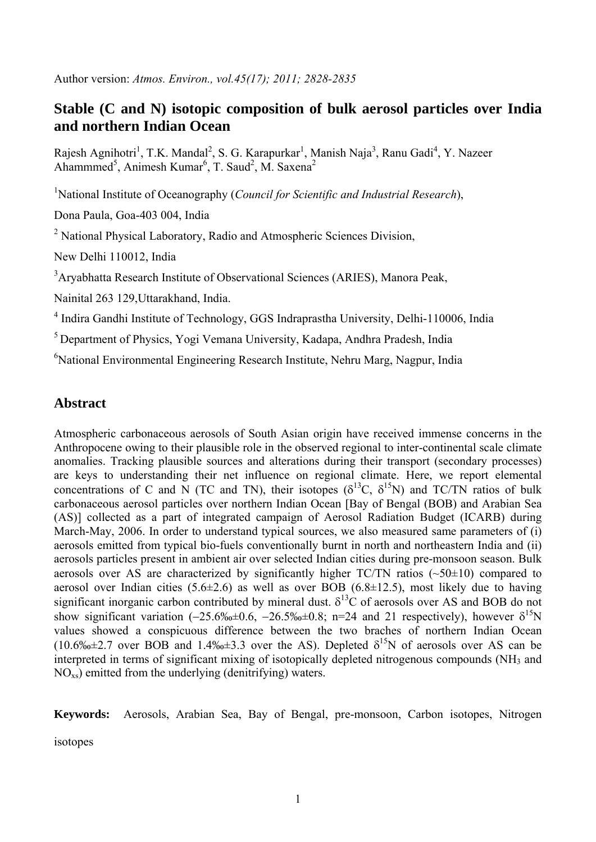Author version: *Atmos. Environ., vol.45(17); 2011; 2828-2835*

# **Stable (C and N) isotopic composition of bulk aerosol particles over India and northern Indian Ocean**

Rajesh Agnihotri<sup>1</sup>, T.K. Mandal<sup>2</sup>, S. G. Karapurkar<sup>1</sup>, Manish Naja<sup>3</sup>, Ranu Gadi<sup>4</sup>, Y. Nazeer Ahammmed<sup>5</sup>, Animesh Kumar<sup>6</sup>, T. Saud<sup>2</sup>, M. Saxena<sup>2</sup>

<sup>1</sup>National Institute of Oceanography (*Council for Scientific and Industrial Research*),

Dona Paula, Goa-403 004, India

<sup>2</sup> National Physical Laboratory, Radio and Atmospheric Sciences Division,

New Delhi 110012, India

<sup>3</sup>Aryabhatta Research Institute of Observational Sciences (ARIES), Manora Peak,

Nainital 263 129,Uttarakhand, India.

<sup>4</sup> Indira Gandhi Institute of Technology, GGS Indraprastha University, Delhi-110006, India

5 Department of Physics, Yogi Vemana University, Kadapa, Andhra Pradesh, India

6 National Environmental Engineering Research Institute, Nehru Marg, Nagpur, India

# **Abstract**

Atmospheric carbonaceous aerosols of South Asian origin have received immense concerns in the Anthropocene owing to their plausible role in the observed regional to inter-continental scale climate anomalies. Tracking plausible sources and alterations during their transport (secondary processes) are keys to understanding their net influence on regional climate. Here, we report elemental concentrations of C and N (TC and TN), their isotopes ( $\delta^{13}C$ ,  $\delta^{15}N$ ) and TC/TN ratios of bulk carbonaceous aerosol particles over northern Indian Ocean [Bay of Bengal (BOB) and Arabian Sea (AS)] collected as a part of integrated campaign of Aerosol Radiation Budget (ICARB) during March-May, 2006. In order to understand typical sources, we also measured same parameters of (i) aerosols emitted from typical bio-fuels conventionally burnt in north and northeastern India and (ii) aerosols particles present in ambient air over selected Indian cities during pre-monsoon season. Bulk aerosols over AS are characterized by significantly higher  $TC/TN$  ratios ( $\sim$ 50 $\pm$ 10) compared to aerosol over Indian cities  $(5.6\pm 2.6)$  as well as over BOB  $(6.8\pm 12.5)$ , most likely due to having significant inorganic carbon contributed by mineral dust.  $\delta^{13}$ C of aerosols over AS and BOB do not show significant variation (−25.6‰±0.6, −26.5‰±0.8; n=24 and 21 respectively), however  $\delta^{15}N$ values showed a conspicuous difference between the two braches of northern Indian Ocean  $(10.6\% \pm 2.7)$  over BOB and 1.4‰ $\pm 3.3$  over the AS). Depleted  $\delta^{15}N$  of aerosols over AS can be interpreted in terms of significant mixing of isotopically depleted nitrogenous compounds (NH<sub>3</sub> and  $NO<sub>xs</sub>$ ) emitted from the underlying (denitrifying) waters.

**Keywords:** Aerosols, Arabian Sea, Bay of Bengal, pre-monsoon, Carbon isotopes, Nitrogen

isotopes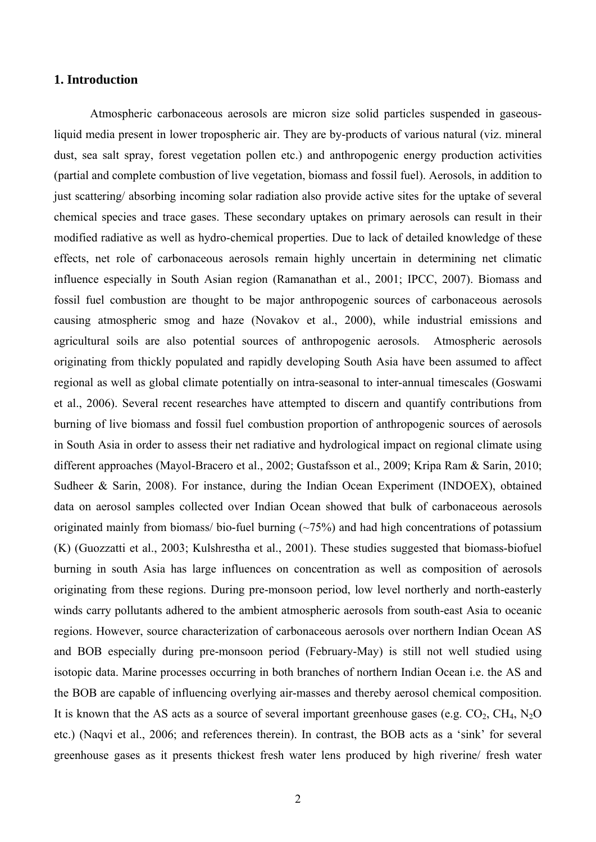### **1. Introduction**

Atmospheric carbonaceous aerosols are micron size solid particles suspended in gaseousliquid media present in lower tropospheric air. They are by-products of various natural (viz. mineral dust, sea salt spray, forest vegetation pollen etc.) and anthropogenic energy production activities (partial and complete combustion of live vegetation, biomass and fossil fuel). Aerosols, in addition to just scattering/ absorbing incoming solar radiation also provide active sites for the uptake of several chemical species and trace gases. These secondary uptakes on primary aerosols can result in their modified radiative as well as hydro-chemical properties. Due to lack of detailed knowledge of these effects, net role of carbonaceous aerosols remain highly uncertain in determining net climatic influence especially in South Asian region (Ramanathan et al., 2001; IPCC, 2007). Biomass and fossil fuel combustion are thought to be major anthropogenic sources of carbonaceous aerosols causing atmospheric smog and haze (Novakov et al., 2000), while industrial emissions and agricultural soils are also potential sources of anthropogenic aerosols. Atmospheric aerosols originating from thickly populated and rapidly developing South Asia have been assumed to affect regional as well as global climate potentially on intra-seasonal to inter-annual timescales (Goswami et al., 2006). Several recent researches have attempted to discern and quantify contributions from burning of live biomass and fossil fuel combustion proportion of anthropogenic sources of aerosols in South Asia in order to assess their net radiative and hydrological impact on regional climate using different approaches (Mayol-Bracero et al., 2002; Gustafsson et al., 2009; Kripa Ram & Sarin, 2010; Sudheer & Sarin, 2008). For instance, during the Indian Ocean Experiment (INDOEX), obtained data on aerosol samples collected over Indian Ocean showed that bulk of carbonaceous aerosols originated mainly from biomass/ bio-fuel burning  $(\sim 75\%)$  and had high concentrations of potassium (K) (Guozzatti et al., 2003; Kulshrestha et al., 2001). These studies suggested that biomass-biofuel burning in south Asia has large influences on concentration as well as composition of aerosols originating from these regions. During pre-monsoon period, low level northerly and north-easterly winds carry pollutants adhered to the ambient atmospheric aerosols from south-east Asia to oceanic regions. However, source characterization of carbonaceous aerosols over northern Indian Ocean AS and BOB especially during pre-monsoon period (February-May) is still not well studied using isotopic data. Marine processes occurring in both branches of northern Indian Ocean i.e. the AS and the BOB are capable of influencing overlying air-masses and thereby aerosol chemical composition. It is known that the AS acts as a source of several important greenhouse gases (e.g.  $CO_2$ ,  $CH_4$ ,  $N_2O$ etc.) (Naqvi et al., 2006; and references therein). In contrast, the BOB acts as a 'sink' for several greenhouse gases as it presents thickest fresh water lens produced by high riverine/ fresh water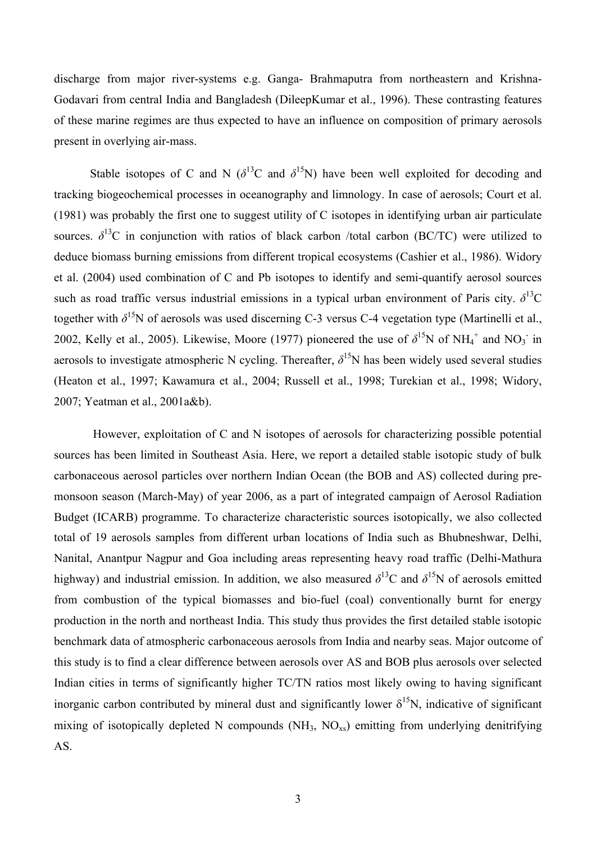discharge from major river-systems e.g. Ganga- Brahmaputra from northeastern and Krishna-Godavari from central India and Bangladesh (DileepKumar et al., 1996). These contrasting features of these marine regimes are thus expected to have an influence on composition of primary aerosols present in overlying air-mass.

Stable isotopes of C and N ( $\delta^{13}$ C and  $\delta^{15}$ N) have been well exploited for decoding and tracking biogeochemical processes in oceanography and limnology. In case of aerosols; Court et al. (1981) was probably the first one to suggest utility of C isotopes in identifying urban air particulate sources.  $\delta^{13}$ C in conjunction with ratios of black carbon /total carbon (BC/TC) were utilized to deduce biomass burning emissions from different tropical ecosystems (Cashier et al., 1986). Widory et al. (2004) used combination of C and Pb isotopes to identify and semi-quantify aerosol sources such as road traffic versus industrial emissions in a typical urban environment of Paris city.  $\delta^{13}$ C together with  $\delta^{15}N$  of aerosols was used discerning C-3 versus C-4 vegetation type (Martinelli et al., 2002, Kelly et al., 2005). Likewise, Moore (1977) pioneered the use of  $\delta^{15}N$  of NH<sub>4</sub><sup>+</sup> and NO<sub>3</sub><sup>-</sup> in aerosols to investigate atmospheric N cycling. Thereafter,  $\delta^{15}N$  has been widely used several studies (Heaton et al., 1997; Kawamura et al., 2004; Russell et al., 1998; Turekian et al., 1998; Widory, 2007; Yeatman et al., 2001a&b).

 However, exploitation of C and N isotopes of aerosols for characterizing possible potential sources has been limited in Southeast Asia. Here, we report a detailed stable isotopic study of bulk carbonaceous aerosol particles over northern Indian Ocean (the BOB and AS) collected during premonsoon season (March-May) of year 2006, as a part of integrated campaign of Aerosol Radiation Budget (ICARB) programme. To characterize characteristic sources isotopically, we also collected total of 19 aerosols samples from different urban locations of India such as Bhubneshwar, Delhi, Nanital, Anantpur Nagpur and Goa including areas representing heavy road traffic (Delhi-Mathura highway) and industrial emission. In addition, we also measured  $\delta^{13}C$  and  $\delta^{15}N$  of aerosols emitted from combustion of the typical biomasses and bio-fuel (coal) conventionally burnt for energy production in the north and northeast India. This study thus provides the first detailed stable isotopic benchmark data of atmospheric carbonaceous aerosols from India and nearby seas. Major outcome of this study is to find a clear difference between aerosols over AS and BOB plus aerosols over selected Indian cities in terms of significantly higher TC/TN ratios most likely owing to having significant inorganic carbon contributed by mineral dust and significantly lower  $\delta^{15}N$ , indicative of significant mixing of isotopically depleted N compounds  $(NH_3, NO_{xs})$  emitting from underlying denitrifying AS.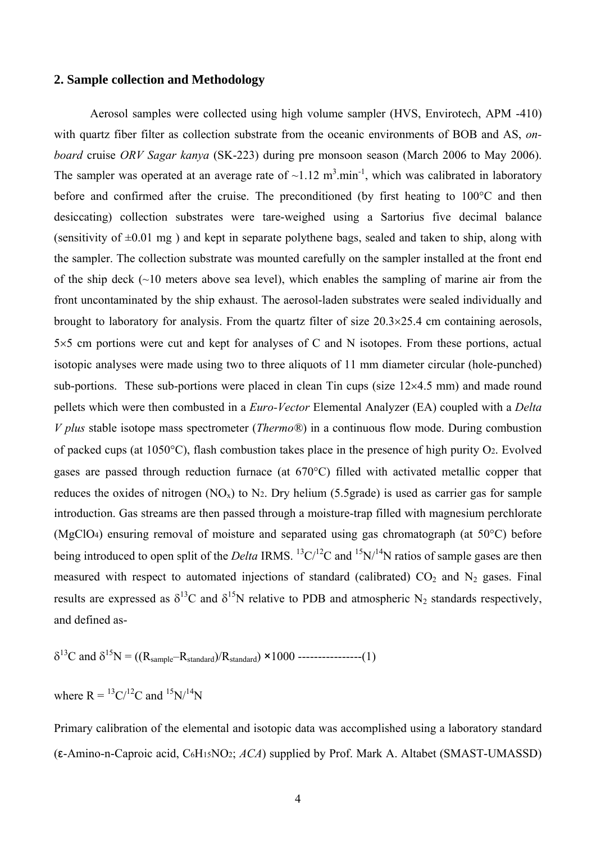### **2. Sample collection and Methodology**

Aerosol samples were collected using high volume sampler (HVS, Envirotech, APM -410) with quartz fiber filter as collection substrate from the oceanic environments of BOB and AS, *onboard* cruise *ORV Sagar kanya* (SK-223) during pre monsoon season (March 2006 to May 2006). The sampler was operated at an average rate of  $\sim 1.12 \text{ m}^3 \cdot \text{min}^{-1}$ , which was calibrated in laboratory before and confirmed after the cruise. The preconditioned (by first heating to 100°C and then desiccating) collection substrates were tare-weighed using a Sartorius five decimal balance (sensitivity of  $\pm 0.01$  mg) and kept in separate polythene bags, sealed and taken to ship, along with the sampler. The collection substrate was mounted carefully on the sampler installed at the front end of the ship deck (~10 meters above sea level), which enables the sampling of marine air from the front uncontaminated by the ship exhaust. The aerosol-laden substrates were sealed individually and brought to laboratory for analysis. From the quartz filter of size 20.3×25.4 cm containing aerosols, 5×5 cm portions were cut and kept for analyses of C and N isotopes. From these portions, actual isotopic analyses were made using two to three aliquots of 11 mm diameter circular (hole-punched) sub-portions. These sub-portions were placed in clean Tin cups (size  $12\times4.5$  mm) and made round pellets which were then combusted in a *Euro-Vector* Elemental Analyzer (EA) coupled with a *Delta V plus* stable isotope mass spectrometer (*Thermo®*) in a continuous flow mode. During combustion of packed cups (at 1050°C), flash combustion takes place in the presence of high purity O2. Evolved gases are passed through reduction furnace (at 670°C) filled with activated metallic copper that reduces the oxides of nitrogen  $(NO_x)$  to  $N_2$ . Dry helium (5.5grade) is used as carrier gas for sample introduction. Gas streams are then passed through a moisture-trap filled with magnesium perchlorate (MgClO4) ensuring removal of moisture and separated using gas chromatograph (at 50°C) before being introduced to open split of the *Delta* IRMS. <sup>13</sup>C/<sup>12</sup>C and <sup>15</sup>N/<sup>14</sup>N ratios of sample gases are then measured with respect to automated injections of standard (calibrated)  $CO<sub>2</sub>$  and N<sub>2</sub> gases. Final results are expressed as  $\delta^{13}C$  and  $\delta^{15}N$  relative to PDB and atmospheric N<sub>2</sub> standards respectively, and defined as-

$$
\delta^{13}
$$
C and  $\delta^{15}$ N = ((R<sub>sample</sub>-R<sub>standard</sub>)/R<sub>standard</sub>) × 1000 -  
---  
---(1)

where  $R = {}^{13}C/{}^{12}C$  and  ${}^{15}N/{}^{14}N$ 

Primary calibration of the elemental and isotopic data was accomplished using a laboratory standard (ε-Amino-n-Caproic acid, C6H15NO2; *ACA*) supplied by Prof. Mark A. Altabet (SMAST-UMASSD)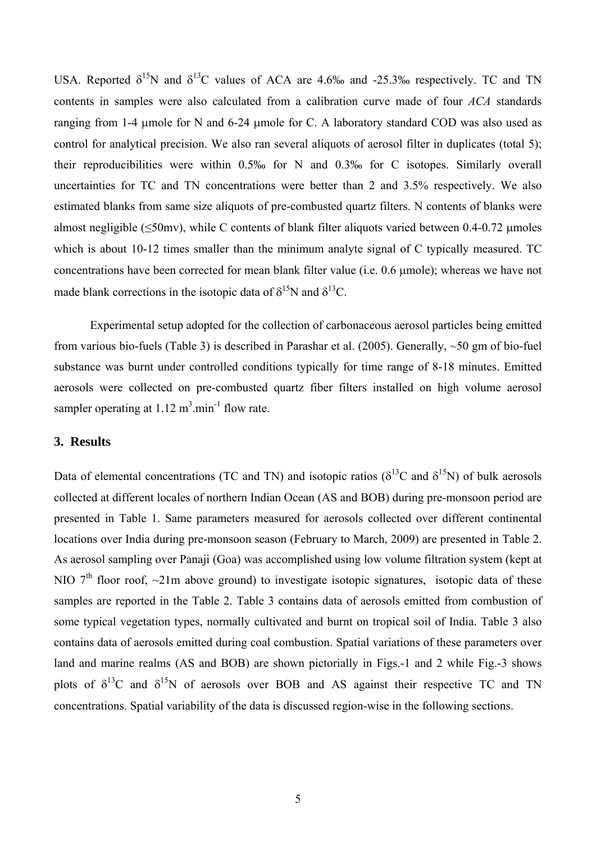USA. Reported  $\delta^{15}N$  and  $\delta^{13}C$  values of ACA are 4.6‰ and -25.3‰ respectively. TC and TN contents in samples were also calculated from a calibration curve made of four *ACA* standards ranging from 1-4 μmole for N and 6-24 μmole for C. A laboratory standard COD was also used as control for analytical precision. We also ran several aliquots of aerosol filter in duplicates (total 5); their reproducibilities were within 0.5‰ for N and 0.3‰ for C isotopes. Similarly overall uncertainties for TC and TN concentrations were better than 2 and 3.5% respectively. We also estimated blanks from same size aliquots of pre-combusted quartz filters. N contents of blanks were almost negligible ( $\leq$ 50mv), while C contents of blank filter aliquots varied between 0.4-0.72 µmoles which is about 10-12 times smaller than the minimum analyte signal of C typically measured. TC concentrations have been corrected for mean blank filter value (i.e. 0.6 μmole); whereas we have not made blank corrections in the isotopic data of  $\delta^{15}N$  and  $\delta^{13}C$ .

Experimental setup adopted for the collection of carbonaceous aerosol particles being emitted from various bio-fuels (Table 3) is described in Parashar et al. (2005). Generally, ~50 gm of bio-fuel substance was burnt under controlled conditions typically for time range of 8-18 minutes. Emitted aerosols were collected on pre-combusted quartz fiber filters installed on high volume aerosol sampler operating at  $1.12 \text{ m}^3 \cdot \text{min}^{-1}$  flow rate.

#### **3. Results**

Data of elemental concentrations (TC and TN) and isotopic ratios ( $\delta^{13}$ C and  $\delta^{15}$ N) of bulk aerosols collected at different locales of northern Indian Ocean (AS and BOB) during pre-monsoon period are presented in Table 1. Same parameters measured for aerosols collected over different continental locations over India during pre-monsoon season (February to March, 2009) are presented in Table 2. As aerosol sampling over Panaji (Goa) was accomplished using low volume filtration system (kept at NIO  $7<sup>th</sup>$  floor roof,  $\sim$ 21m above ground) to investigate isotopic signatures, isotopic data of these samples are reported in the Table 2. Table 3 contains data of aerosols emitted from combustion of some typical vegetation types, normally cultivated and burnt on tropical soil of India. Table 3 also contains data of aerosols emitted during coal combustion. Spatial variations of these parameters over land and marine realms (AS and BOB) are shown pictorially in Figs.-1 and 2 while Fig.-3 shows plots of  $\delta^{13}C$  and  $\delta^{15}N$  of aerosols over BOB and AS against their respective TC and TN concentrations. Spatial variability of the data is discussed region-wise in the following sections.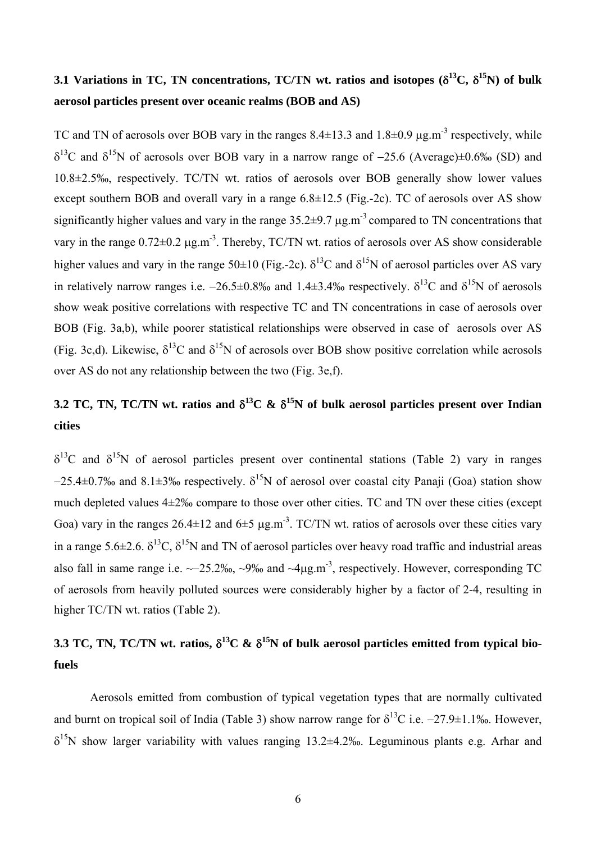# **3.1 Variations in TC, TN concentrations, TC/TN wt. ratios and isotopes (**δ**13C,** δ**15N) of bulk aerosol particles present over oceanic realms (BOB and AS)**

TC and TN of aerosols over BOB vary in the ranges  $8.4\pm13.3$  and  $1.8\pm0.9$   $\mu$ g.m<sup>-3</sup> respectively, while  $\delta^{13}$ C and  $\delta^{15}$ N of aerosols over BOB vary in a narrow range of -25.6 (Average)±0.6‰ (SD) and 10.8±2.5‰, respectively. TC/TN wt. ratios of aerosols over BOB generally show lower values except southern BOB and overall vary in a range 6.8±12.5 (Fig.-2c). TC of aerosols over AS show significantly higher values and vary in the range  $35.2\pm9.7 \,\mu g.m^{-3}$  compared to TN concentrations that vary in the range 0.72±0.2 μg.m-3. Thereby, TC/TN wt. ratios of aerosols over AS show considerable higher values and vary in the range 50 $\pm$ 10 (Fig.-2c).  $\delta^{13}$ C and  $\delta^{15}$ N of aerosol particles over AS vary in relatively narrow ranges i.e.  $-26.5\pm0.8\%$  and  $1.4\pm3.4\%$  respectively.  $\delta^{13}$ C and  $\delta^{15}$ N of aerosols show weak positive correlations with respective TC and TN concentrations in case of aerosols over BOB (Fig. 3a,b), while poorer statistical relationships were observed in case of aerosols over AS (Fig. 3c,d). Likewise,  $\delta^{13}C$  and  $\delta^{15}N$  of aerosols over BOB show positive correlation while aerosols over AS do not any relationship between the two (Fig. 3e,f).

# **3.2 TC, TN, TC/TN wt. ratios and** δ**13C &** δ**15N of bulk aerosol particles present over Indian cities**

 $\delta^{13}$ C and  $\delta^{15}$ N of aerosol particles present over continental stations (Table 2) vary in ranges  $-25.4\pm0.7\%$  and  $8.1\pm3\%$  respectively.  $\delta^{15}N$  of aerosol over coastal city Panaji (Goa) station show much depleted values 4±2‰ compare to those over other cities. TC and TN over these cities (except Goa) vary in the ranges  $26.4 \pm 12$  and  $6 \pm 5$   $\mu$ g.m<sup>-3</sup>. TC/TN wt. ratios of aerosols over these cities vary in a range 5.6 $\pm$ 2.6.  $\delta^{13}$ C,  $\delta^{15}$ N and TN of aerosol particles over heavy road traffic and industrial areas also fall in same range i.e. ~−25.2‰, ~9‰ and ~4μg.m-3, respectively. However, corresponding TC of aerosols from heavily polluted sources were considerably higher by a factor of 2-4, resulting in higher TC/TN wt. ratios (Table 2).

# **3.3 TC, TN, TC/TN wt. ratios,** δ**13C &** δ**15N of bulk aerosol particles emitted from typical biofuels**

Aerosols emitted from combustion of typical vegetation types that are normally cultivated and burnt on tropical soil of India (Table 3) show narrow range for  $\delta^{13}$ C i.e.  $-27.9\pm1.1\%$ . However,  $\delta^{15}$ N show larger variability with values ranging 13.2±4.2‰. Leguminous plants e.g. Arhar and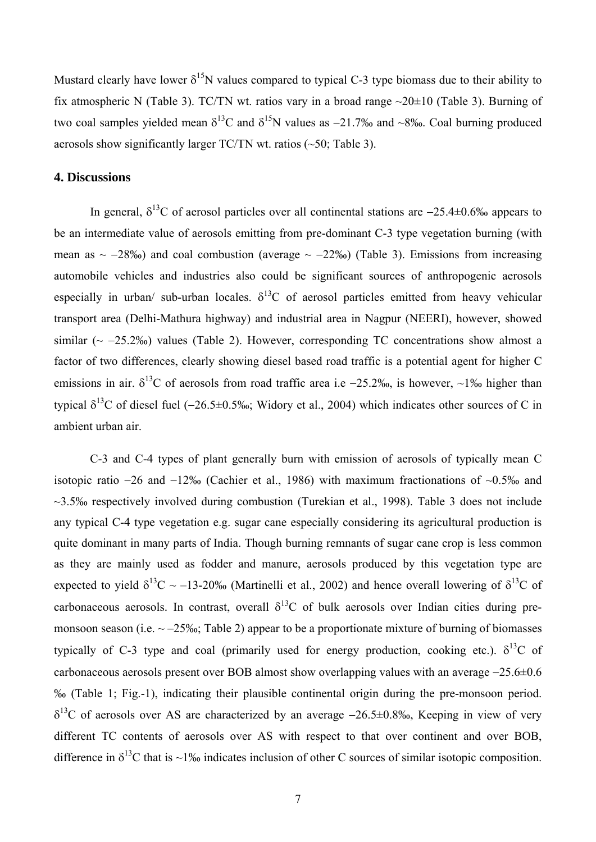Mustard clearly have lower  $\delta^{15}N$  values compared to typical C-3 type biomass due to their ability to fix atmospheric N (Table 3). TC/TN wt. ratios vary in a broad range ~20±10 (Table 3). Burning of two coal samples yielded mean  $\delta^{13}$ C and  $\delta^{15}$ N values as -21.7‰ and ~8‰. Coal burning produced aerosols show significantly larger TC/TN wt. ratios (~50; Table 3).

### **4. Discussions**

In general,  $\delta^{13}$ C of aerosol particles over all continental stations are  $-25.4\pm0.6\%$  appears to be an intermediate value of aerosols emitting from pre-dominant C-3 type vegetation burning (with mean as  $\sim -28\%$ ) and coal combustion (average  $\sim -22\%$ ) (Table 3). Emissions from increasing automobile vehicles and industries also could be significant sources of anthropogenic aerosols especially in urban/ sub-urban locales.  $\delta^{13}$ C of aerosol particles emitted from heavy vehicular transport area (Delhi-Mathura highway) and industrial area in Nagpur (NEERI), however, showed similar ( $\sim$  −25.2‰) values (Table 2). However, corresponding TC concentrations show almost a factor of two differences, clearly showing diesel based road traffic is a potential agent for higher C emissions in air.  $\delta^{13}$ C of aerosols from road traffic area i.e −25.2‰, is however, ~1‰ higher than typical  $\delta^{13}$ C of diesel fuel (−26.5±0.5‰; Widory et al., 2004) which indicates other sources of C in ambient urban air.

C-3 and C-4 types of plant generally burn with emission of aerosols of typically mean C isotopic ratio −26 and −12‰ (Cachier et al., 1986) with maximum fractionations of ~0.5‰ and ~3.5‰ respectively involved during combustion (Turekian et al., 1998). Table 3 does not include any typical C-4 type vegetation e.g. sugar cane especially considering its agricultural production is quite dominant in many parts of India. Though burning remnants of sugar cane crop is less common as they are mainly used as fodder and manure, aerosols produced by this vegetation type are expected to yield  $\delta^{13}C \sim -13-20\%$  (Martinelli et al., 2002) and hence overall lowering of  $\delta^{13}C$  of carbonaceous aerosols. In contrast, overall  $\delta^{13}C$  of bulk aerosols over Indian cities during premonsoon season (i.e.  $\sim$  –25‰; Table 2) appear to be a proportionate mixture of burning of biomasses typically of C-3 type and coal (primarily used for energy production, cooking etc.).  $\delta^{13}$ C of carbonaceous aerosols present over BOB almost show overlapping values with an average −25.6±0.6 ‰ (Table 1; Fig.-1), indicating their plausible continental origin during the pre-monsoon period.  $\delta^{13}$ C of aerosols over AS are characterized by an average −26.5±0.8‰, Keeping in view of very different TC contents of aerosols over AS with respect to that over continent and over BOB, difference in  $\delta^{13}$ C that is ~1‰ indicates inclusion of other C sources of similar isotopic composition.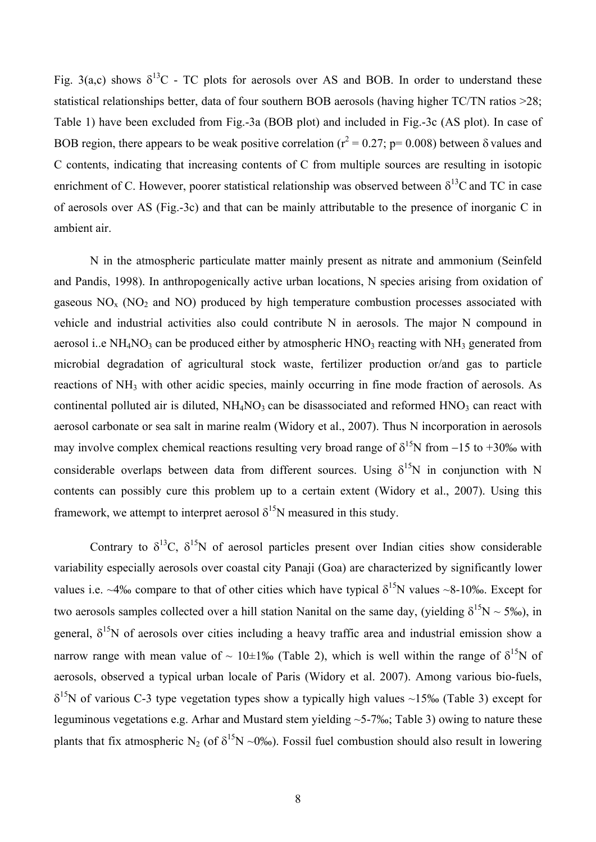Fig. 3(a,c) shows  $\delta^{13}C$  - TC plots for aerosols over AS and BOB. In order to understand these statistical relationships better, data of four southern BOB aerosols (having higher TC/TN ratios >28; Table 1) have been excluded from Fig.-3a (BOB plot) and included in Fig.-3c (AS plot). In case of BOB region, there appears to be weak positive correlation ( $r^2 = 0.27$ ; p= 0.008) between  $\delta$  values and C contents, indicating that increasing contents of C from multiple sources are resulting in isotopic enrichment of C. However, poorer statistical relationship was observed between  $\delta^{13}$ C and TC in case of aerosols over AS (Fig.-3c) and that can be mainly attributable to the presence of inorganic C in ambient air.

N in the atmospheric particulate matter mainly present as nitrate and ammonium (Seinfeld and Pandis, 1998). In anthropogenically active urban locations, N species arising from oxidation of gaseous  $NO<sub>x</sub>$  (NO<sub>2</sub> and NO) produced by high temperature combustion processes associated with vehicle and industrial activities also could contribute N in aerosols. The major N compound in aerosol i..e NH<sub>4</sub>NO<sub>3</sub> can be produced either by atmospheric HNO<sub>3</sub> reacting with NH<sub>3</sub> generated from microbial degradation of agricultural stock waste, fertilizer production or/and gas to particle reactions of NH3 with other acidic species, mainly occurring in fine mode fraction of aerosols. As continental polluted air is diluted,  $NH<sub>4</sub>NO<sub>3</sub>$  can be disassociated and reformed  $HNO<sub>3</sub>$  can react with aerosol carbonate or sea salt in marine realm (Widory et al., 2007). Thus N incorporation in aerosols may involve complex chemical reactions resulting very broad range of  $\delta^{15}N$  from −15 to +30‰ with considerable overlaps between data from different sources. Using  $\delta^{15}N$  in conjunction with N contents can possibly cure this problem up to a certain extent (Widory et al., 2007). Using this framework, we attempt to interpret aerosol  $\delta^{15}N$  measured in this study.

Contrary to  $\delta^{13}C$ ,  $\delta^{15}N$  of aerosol particles present over Indian cities show considerable variability especially aerosols over coastal city Panaji (Goa) are characterized by significantly lower values i.e. ~4‰ compare to that of other cities which have typical  $\delta^{15}N$  values ~8-10‰. Except for two aerosols samples collected over a hill station Nanital on the same day, (yielding  $\delta^{15}N \sim 5\%$ ), in general,  $\delta^{15}N$  of aerosols over cities including a heavy traffic area and industrial emission show a narrow range with mean value of ~ 10±1‰ (Table 2), which is well within the range of  $\delta^{15}N$  of aerosols, observed a typical urban locale of Paris (Widory et al. 2007). Among various bio-fuels,  $\delta^{15}$ N of various C-3 type vegetation types show a typically high values ~15‰ (Table 3) except for leguminous vegetations e.g. Arhar and Mustard stem yielding ~5-7‰; Table 3) owing to nature these plants that fix atmospheric N<sub>2</sub> (of  $\delta^{15}N \sim 0\%$ ). Fossil fuel combustion should also result in lowering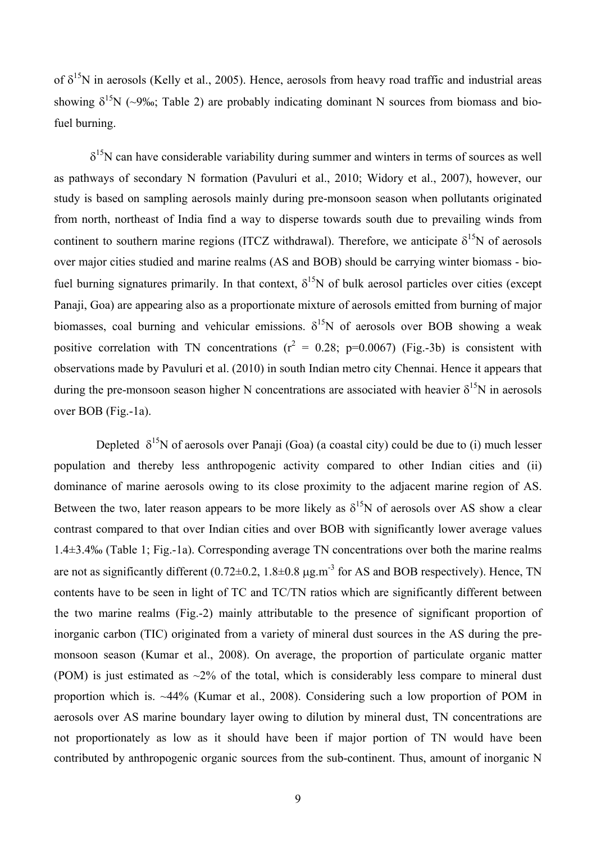of  $\delta^{15}N$  in aerosols (Kelly et al., 2005). Hence, aerosols from heavy road traffic and industrial areas showing  $\delta^{15}N$  (~9‰; Table 2) are probably indicating dominant N sources from biomass and biofuel burning.

 $\delta^{15}$ N can have considerable variability during summer and winters in terms of sources as well as pathways of secondary N formation (Pavuluri et al., 2010; Widory et al., 2007), however, our study is based on sampling aerosols mainly during pre-monsoon season when pollutants originated from north, northeast of India find a way to disperse towards south due to prevailing winds from continent to southern marine regions (ITCZ withdrawal). Therefore, we anticipate  $\delta^{15}N$  of aerosols over major cities studied and marine realms (AS and BOB) should be carrying winter biomass - biofuel burning signatures primarily. In that context,  $\delta^{15}N$  of bulk aerosol particles over cities (except Panaji, Goa) are appearing also as a proportionate mixture of aerosols emitted from burning of major biomasses, coal burning and vehicular emissions.  $\delta^{15}N$  of aerosols over BOB showing a weak positive correlation with TN concentrations ( $r^2 = 0.28$ ; p=0.0067) (Fig.-3b) is consistent with observations made by Pavuluri et al. (2010) in south Indian metro city Chennai. Hence it appears that during the pre-monsoon season higher N concentrations are associated with heavier  $\delta^{15}N$  in aerosols over BOB (Fig.-1a).

Depleted  $\delta^{15}N$  of aerosols over Panaji (Goa) (a coastal city) could be due to (i) much lesser population and thereby less anthropogenic activity compared to other Indian cities and (ii) dominance of marine aerosols owing to its close proximity to the adjacent marine region of AS. Between the two, later reason appears to be more likely as  $\delta^{15}N$  of aerosols over AS show a clear contrast compared to that over Indian cities and over BOB with significantly lower average values 1.4±3.4‰ (Table 1; Fig.-1a). Corresponding average TN concentrations over both the marine realms are not as significantly different  $(0.72 \pm 0.2, 1.8 \pm 0.8 \mu g.m^{-3}$  for AS and BOB respectively). Hence, TN contents have to be seen in light of TC and TC/TN ratios which are significantly different between the two marine realms (Fig.-2) mainly attributable to the presence of significant proportion of inorganic carbon (TIC) originated from a variety of mineral dust sources in the AS during the premonsoon season (Kumar et al., 2008). On average, the proportion of particulate organic matter (POM) is just estimated as  $\sim$ 2% of the total, which is considerably less compare to mineral dust proportion which is. ~44% (Kumar et al., 2008). Considering such a low proportion of POM in aerosols over AS marine boundary layer owing to dilution by mineral dust, TN concentrations are not proportionately as low as it should have been if major portion of TN would have been contributed by anthropogenic organic sources from the sub-continent. Thus, amount of inorganic N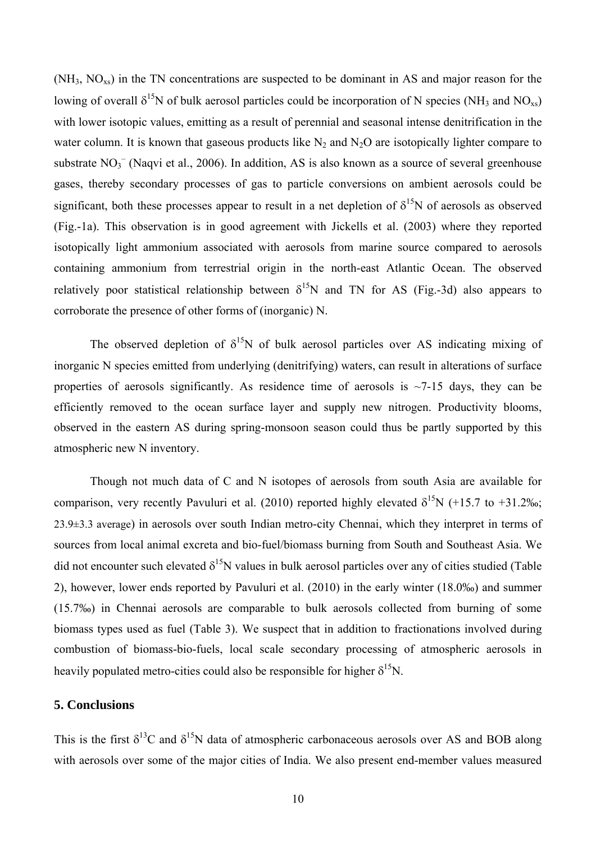$(NH_3, NO_{xs})$  in the TN concentrations are suspected to be dominant in AS and major reason for the lowing of overall  $\delta^{15}N$  of bulk aerosol particles could be incorporation of N species (NH<sub>3</sub> and NO<sub>xs</sub>) with lower isotopic values, emitting as a result of perennial and seasonal intense denitrification in the water column. It is known that gaseous products like  $N_2$  and  $N_2O$  are isotopically lighter compare to substrate  $NO<sub>3</sub><sup>-</sup>$  (Naqvi et al., 2006). In addition, AS is also known as a source of several greenhouse gases, thereby secondary processes of gas to particle conversions on ambient aerosols could be significant, both these processes appear to result in a net depletion of  $\delta^{15}N$  of aerosols as observed (Fig.-1a). This observation is in good agreement with Jickells et al. (2003) where they reported isotopically light ammonium associated with aerosols from marine source compared to aerosols containing ammonium from terrestrial origin in the north-east Atlantic Ocean. The observed relatively poor statistical relationship between  $\delta^{15}N$  and TN for AS (Fig.-3d) also appears to corroborate the presence of other forms of (inorganic) N.

The observed depletion of  $\delta^{15}N$  of bulk aerosol particles over AS indicating mixing of inorganic N species emitted from underlying (denitrifying) waters, can result in alterations of surface properties of aerosols significantly. As residence time of aerosols is  $\sim$ 7-15 days, they can be efficiently removed to the ocean surface layer and supply new nitrogen. Productivity blooms, observed in the eastern AS during spring-monsoon season could thus be partly supported by this atmospheric new N inventory.

Though not much data of C and N isotopes of aerosols from south Asia are available for comparison, very recently Pavuluri et al. (2010) reported highly elevated  $\delta^{15}N$  (+15.7 to +31.2‰; 23.9±3.3 average) in aerosols over south Indian metro-city Chennai, which they interpret in terms of sources from local animal excreta and bio-fuel/biomass burning from South and Southeast Asia. We did not encounter such elevated  $\delta^{15}N$  values in bulk aerosol particles over any of cities studied (Table 2), however, lower ends reported by Pavuluri et al. (2010) in the early winter (18.0‰) and summer (15.7‰) in Chennai aerosols are comparable to bulk aerosols collected from burning of some biomass types used as fuel (Table 3). We suspect that in addition to fractionations involved during combustion of biomass-bio-fuels, local scale secondary processing of atmospheric aerosols in heavily populated metro-cities could also be responsible for higher  $\delta^{15}N$ .

#### **5. Conclusions**

This is the first  $\delta^{13}C$  and  $\delta^{15}N$  data of atmospheric carbonaceous aerosols over AS and BOB along with aerosols over some of the major cities of India. We also present end-member values measured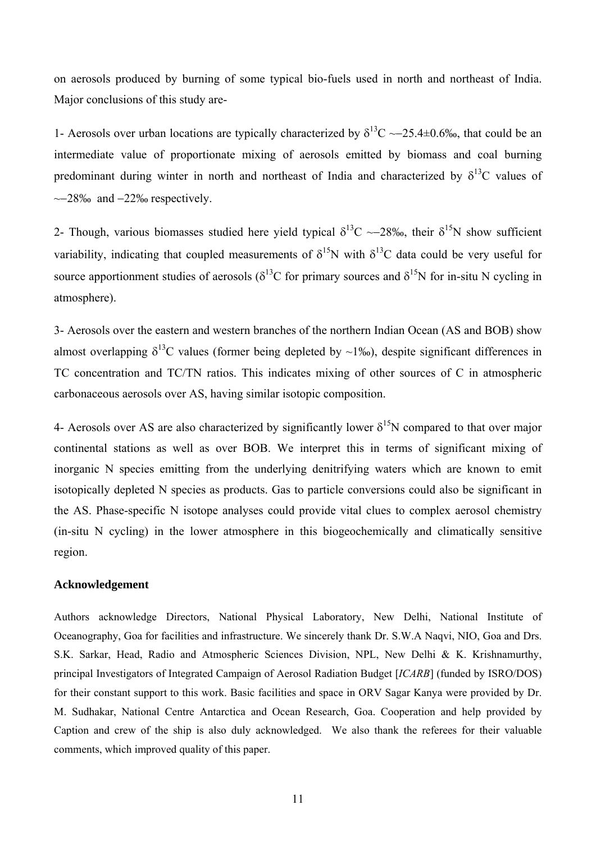on aerosols produced by burning of some typical bio-fuels used in north and northeast of India. Major conclusions of this study are-

1- Aerosols over urban locations are typically characterized by  $\delta^{13}C \sim 25.4 \pm 0.6\%$ , that could be an intermediate value of proportionate mixing of aerosols emitted by biomass and coal burning predominant during winter in north and northeast of India and characterized by  $\delta^{13}C$  values of ~−28‰ and −22‰ respectively.

2- Though, various biomasses studied here yield typical  $\delta^{13}C \sim 28\%$ , their  $\delta^{15}N$  show sufficient variability, indicating that coupled measurements of  $\delta^{15}N$  with  $\delta^{13}C$  data could be very useful for source apportionment studies of aerosols ( $\delta^{13}$ C for primary sources and  $\delta^{15}$ N for in-situ N cycling in atmosphere).

3- Aerosols over the eastern and western branches of the northern Indian Ocean (AS and BOB) show almost overlapping  $\delta^{13}$ C values (former being depleted by ~1‰), despite significant differences in TC concentration and TC/TN ratios. This indicates mixing of other sources of C in atmospheric carbonaceous aerosols over AS, having similar isotopic composition.

4- Aerosols over AS are also characterized by significantly lower  $\delta^{15}N$  compared to that over major continental stations as well as over BOB. We interpret this in terms of significant mixing of inorganic N species emitting from the underlying denitrifying waters which are known to emit isotopically depleted N species as products. Gas to particle conversions could also be significant in the AS. Phase-specific N isotope analyses could provide vital clues to complex aerosol chemistry (in-situ N cycling) in the lower atmosphere in this biogeochemically and climatically sensitive region.

### **Acknowledgement**

Authors acknowledge Directors, National Physical Laboratory, New Delhi, National Institute of Oceanography, Goa for facilities and infrastructure. We sincerely thank Dr. S.W.A Naqvi, NIO, Goa and Drs. S.K. Sarkar, Head, Radio and Atmospheric Sciences Division, NPL, New Delhi & K. Krishnamurthy, principal Investigators of Integrated Campaign of Aerosol Radiation Budget [*ICARB*] (funded by ISRO/DOS) for their constant support to this work. Basic facilities and space in ORV Sagar Kanya were provided by Dr. M. Sudhakar, National Centre Antarctica and Ocean Research, Goa. Cooperation and help provided by Caption and crew of the ship is also duly acknowledged. We also thank the referees for their valuable comments, which improved quality of this paper.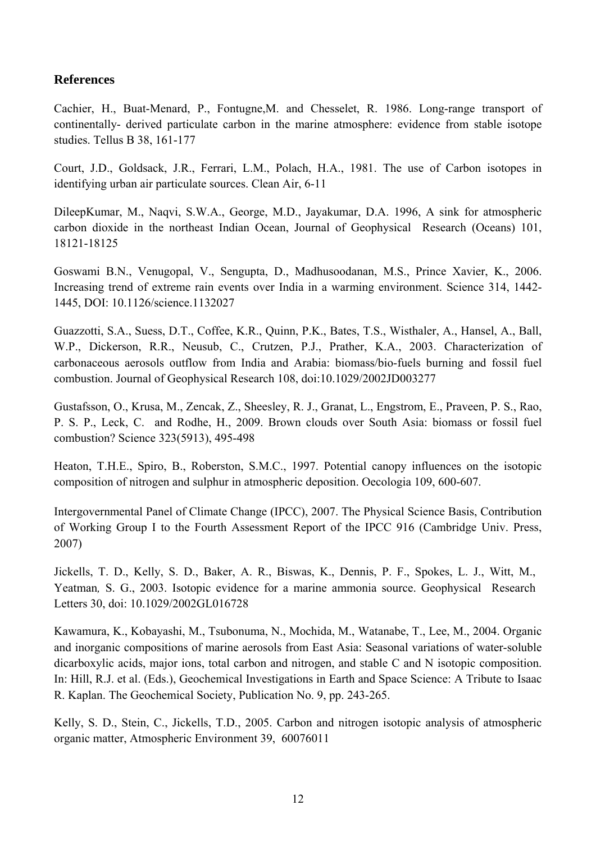### **References**

Cachier, H., Buat-Menard, P., Fontugne,M. and Chesselet, R. 1986. Long-range transport of continentally- derived particulate carbon in the marine atmosphere: evidence from stable isotope studies. Tellus B 38, 161-177

Court, J.D., Goldsack, J.R., Ferrari, L.M., Polach, H.A., 1981. The use of Carbon isotopes in identifying urban air particulate sources. Clean Air, 6-11

DileepKumar, M., Naqvi, S.W.A., George, M.D., Jayakumar, D.A. 1996, A sink for atmospheric carbon dioxide in the northeast Indian Ocean, Journal of Geophysical Research (Oceans) 101, 18121-18125

Goswami B.N., Venugopal, V., Sengupta, D., Madhusoodanan, M.S., Prince Xavier, K., 2006. Increasing trend of extreme rain events over India in a warming environment. Science 314, 1442- 1445, DOI: 10.1126/science.1132027

Guazzotti, S.A., Suess, D.T., Coffee, K.R., Quinn, P.K., Bates, T.S., Wisthaler, A., Hansel, A., Ball, W.P., Dickerson, R.R., Neusub, C., Crutzen, P.J., Prather, K.A., 2003. Characterization of carbonaceous aerosols outflow from India and Arabia: biomass/bio-fuels burning and fossil fuel combustion. Journal of Geophysical Research 108, doi:10.1029/2002JD003277

Gustafsson, O., Krusa, M., Zencak, Z., Sheesley, R. J., Granat, L., Engstrom, E., Praveen, P. S., Rao, P. S. P., Leck, C. and Rodhe, H., 2009. Brown clouds over South Asia: biomass or fossil fuel combustion? Science 323(5913), 495-498

Heaton, T.H.E., Spiro, B., Roberston, S.M.C., 1997. Potential canopy influences on the isotopic composition of nitrogen and sulphur in atmospheric deposition. Oecologia 109, 600-607.

Intergovernmental Panel of Climate Change (IPCC), 2007. The Physical Science Basis, Contribution of Working Group I to the Fourth Assessment Report of the IPCC 916 (Cambridge Univ. Press, 2007)

Jickells, T. D., Kelly, S. D., Baker, A. R., Biswas, K., Dennis, P. F., Spokes, L. J., Witt, M., Yeatman*,* S. G., 2003. Isotopic evidence for a marine ammonia source. Geophysical Research Letters 30, doi: 10.1029/2002GL016728

Kawamura, K., Kobayashi, M., Tsubonuma, N., Mochida, M., Watanabe, T., Lee, M., 2004. Organic and inorganic compositions of marine aerosols from East Asia: Seasonal variations of water-soluble dicarboxylic acids, major ions, total carbon and nitrogen, and stable C and N isotopic composition. In: Hill, R.J. et al. (Eds.), Geochemical Investigations in Earth and Space Science: A Tribute to Isaac R. Kaplan. The Geochemical Society, Publication No. 9, pp. 243-265.

Kelly, S. D., Stein, C., Jickells, T.D., 2005. Carbon and nitrogen isotopic analysis of atmospheric organic matter, Atmospheric Environment 39, 60076011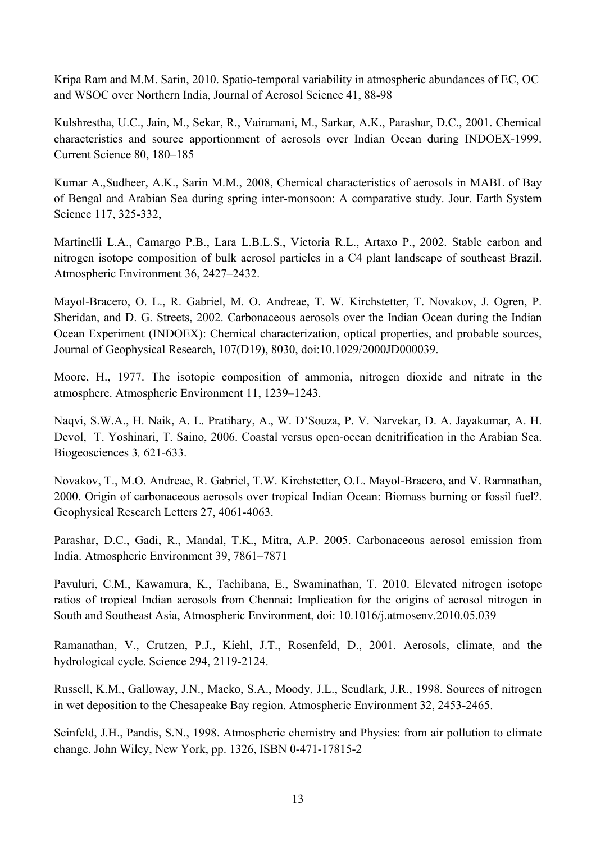Kripa Ram and M.M. Sarin, 2010. Spatio-temporal variability in atmospheric abundances of EC, OC and WSOC over Northern India, Journal of Aerosol Science 41, 88-98

Kulshrestha, U.C., Jain, M., Sekar, R., Vairamani, M., Sarkar, A.K., Parashar, D.C., 2001. Chemical characteristics and source apportionment of aerosols over Indian Ocean during INDOEX-1999. Current Science 80, 180–185

Kumar A.,Sudheer, A.K., Sarin M.M., 2008, Chemical characteristics of aerosols in MABL of Bay of Bengal and Arabian Sea during spring inter-monsoon: A comparative study. Jour. Earth System Science 117, 325-332,

Martinelli L.A., Camargo P.B., Lara L.B.L.S., Victoria R.L., Artaxo P., 2002. Stable carbon and nitrogen isotope composition of bulk aerosol particles in a C4 plant landscape of southeast Brazil. Atmospheric Environment 36, 2427–2432.

Mayol-Bracero, O. L., R. Gabriel, M. O. Andreae, T. W. Kirchstetter, T. Novakov, J. Ogren, P. Sheridan, and D. G. Streets, 2002. Carbonaceous aerosols over the Indian Ocean during the Indian Ocean Experiment (INDOEX): Chemical characterization, optical properties, and probable sources, Journal of Geophysical Research, 107(D19), 8030, doi:10.1029/2000JD000039.

Moore, H., 1977. The isotopic composition of ammonia, nitrogen dioxide and nitrate in the atmosphere. Atmospheric Environment 11, 1239–1243.

Naqvi, S.W.A., H. Naik, A. L. Pratihary, A., W. D'Souza, P. V. Narvekar, D. A. Jayakumar, A. H. Devol, T. Yoshinari, T. Saino, 2006. Coastal versus open-ocean denitrification in the Arabian Sea. Biogeosciences 3*,* 621-633.

Novakov, T., M.O. Andreae, R. Gabriel, T.W. Kirchstetter, O.L. Mayol-Bracero, and V. Ramnathan, 2000. Origin of carbonaceous aerosols over tropical Indian Ocean: Biomass burning or fossil fuel?. Geophysical Research Letters 27, 4061-4063.

Parashar, D.C., Gadi, R., Mandal, T.K., Mitra, A.P. 2005. Carbonaceous aerosol emission from India. Atmospheric Environment 39, 7861–7871

Pavuluri, C.M., Kawamura, K., Tachibana, E., Swaminathan, T. 2010. Elevated nitrogen isotope ratios of tropical Indian aerosols from Chennai: Implication for the origins of aerosol nitrogen in South and Southeast Asia, Atmospheric Environment, doi: 10.1016/j.atmosenv.2010.05.039

Ramanathan, V., Crutzen, P.J., Kiehl, J.T., Rosenfeld, D., 2001. Aerosols, climate, and the hydrological cycle. Science 294, 2119-2124.

Russell, K.M., Galloway, J.N., Macko, S.A., Moody, J.L., Scudlark, J.R., 1998. Sources of nitrogen in wet deposition to the Chesapeake Bay region. Atmospheric Environment 32, 2453-2465.

Seinfeld, J.H., Pandis, S.N., 1998. Atmospheric chemistry and Physics: from air pollution to climate change. John Wiley, New York, pp. 1326, ISBN 0-471-17815-2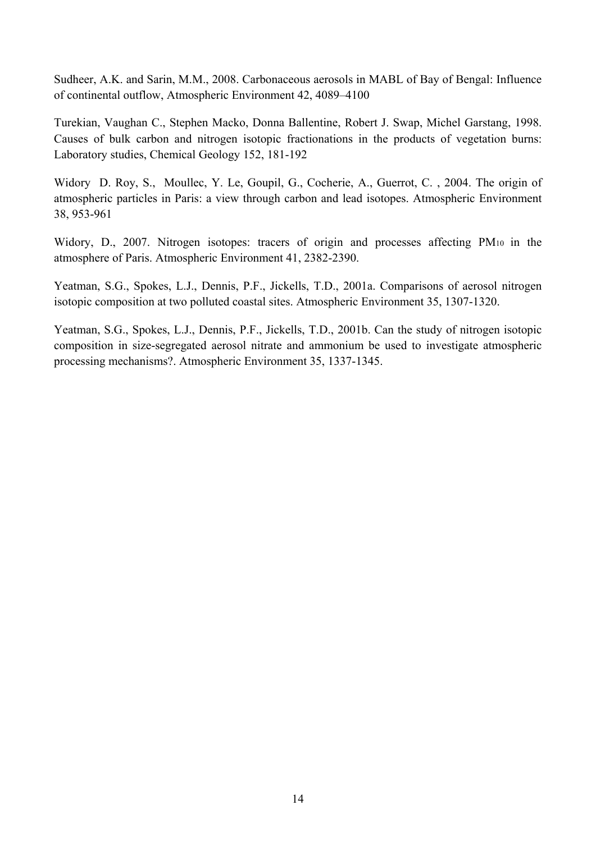Sudheer, A.K. and Sarin, M.M., 2008. Carbonaceous aerosols in MABL of Bay of Bengal: Influence of continental outflow, Atmospheric Environment 42, 4089–4100

Turekian, Vaughan C., Stephen Macko, Donna Ballentine, Robert J. Swap, Michel Garstang, 1998. Causes of bulk carbon and nitrogen isotopic fractionations in the products of vegetation burns: Laboratory studies, Chemical Geology 152, 181-192

Widory D. Roy, S., Moullec, Y. Le, Goupil, G., Cocherie, A., Guerrot, C. , 2004. The origin of atmospheric particles in Paris: a view through carbon and lead isotopes. Atmospheric Environment 38, 953-961

Widory, D., 2007. Nitrogen isotopes: tracers of origin and processes affecting PM10 in the atmosphere of Paris. Atmospheric Environment 41, 2382-2390.

Yeatman, S.G., Spokes, L.J., Dennis, P.F., Jickells, T.D., 2001a. Comparisons of aerosol nitrogen isotopic composition at two polluted coastal sites. Atmospheric Environment 35, 1307-1320.

Yeatman, S.G., Spokes, L.J., Dennis, P.F., Jickells, T.D., 2001b. Can the study of nitrogen isotopic composition in size-segregated aerosol nitrate and ammonium be used to investigate atmospheric processing mechanisms?. Atmospheric Environment 35, 1337-1345.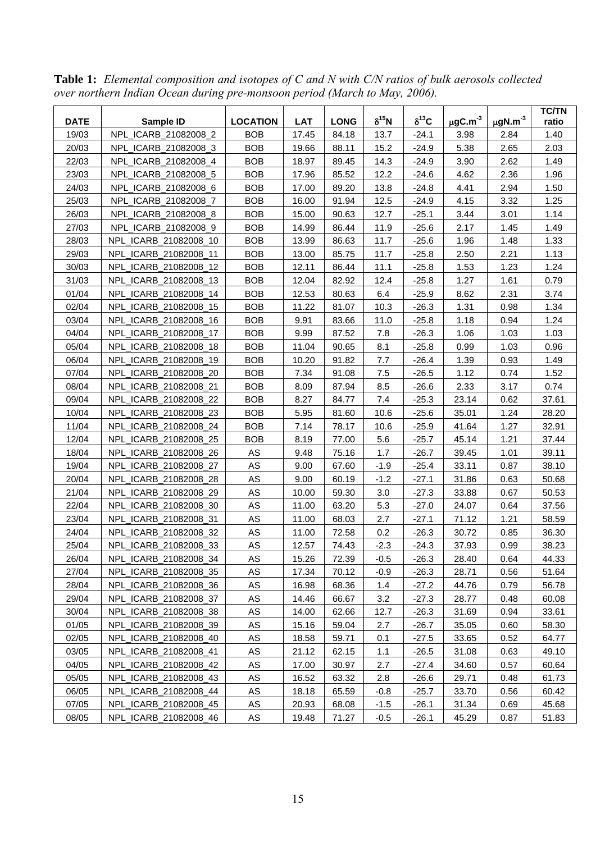| 19/03<br>NPL ICARB 21082008 2<br><b>BOB</b><br>17.45<br>84.18<br>13.7<br>$-24.1$<br>1.40<br>3.98<br>2.84<br>20/03<br>NPL_ICARB_21082008_3<br><b>BOB</b><br>15.2<br>$-24.9$<br>5.38<br>2.65<br>2.03<br>19.66<br>88.11<br>2.62<br>22/03<br>NPL_ICARB_21082008_4<br><b>BOB</b><br>18.97<br>89.45<br>14.3<br>$-24.9$<br>3.90<br>1.49<br>23/03<br><b>BOB</b><br>17.96<br>85.52<br>12.2<br>$-24.6$<br>2.36<br>1.96<br>NPL_ICARB_21082008_5<br>4.62<br>24/03<br>NPL_ICARB_21082008_6<br><b>BOB</b><br>17.00<br>89.20<br>13.8<br>$-24.8$<br>4.41<br>2.94<br>1.50<br>25/03<br><b>BOB</b><br>91.94<br>12.5<br>$-24.9$<br>3.32<br>1.25<br>NPL_ICARB_21082008_7<br>16.00<br>4.15<br>26/03<br><b>BOB</b><br>15.00<br>12.7<br>$-25.1$<br>3.01<br>1.14<br>NPL_ICARB_21082008_8<br>90.63<br>3.44<br><b>BOB</b><br>11.9<br>$-25.6$<br>1.49<br>27/03<br>NPL_ICARB_21082008_9<br>14.99<br>86.44<br>2.17<br>1.45<br>28/03<br><b>BOB</b><br>11.7<br>$-25.6$<br>1.33<br>NPL_ICARB_21082008_10<br>13.99<br>86.63<br>1.96<br>1.48<br>29/03<br><b>BOB</b><br>11.7<br>NPL_ICARB_21082008_11<br>13.00<br>85.75<br>$-25.8$<br>2.50<br>2.21<br>1.13<br>1.24<br>30/03<br><b>BOB</b><br>12.11<br>86.44<br>11.1<br>$-25.8$<br>1.53<br>1.23<br>NPL_ICARB_21082008_12<br>31/03<br>NPL_ICARB_21082008_13<br><b>BOB</b><br>12.4<br>1.27<br>1.61<br>0.79<br>12.04<br>82.92<br>$-25.8$<br>01/04<br>6.4<br>$-25.9$<br>2.31<br>3.74<br>NPL_ICARB_21082008_14<br><b>BOB</b><br>12.53<br>80.63<br>8.62<br><b>BOB</b><br>1.34<br>02/04<br>NPL_ICARB_21082008_15<br>11.22<br>81.07<br>10.3<br>$-26.3$<br>1.31<br>0.98<br>03/04<br><b>BOB</b><br>$-25.8$<br>0.94<br>1.24<br>NPL_ICARB_21082008_16<br>9.91<br>83.66<br>11.0<br>1.18<br>04/04<br><b>BOB</b><br>9.99<br>87.52<br>7.8<br>$-26.3$<br>1.06<br>1.03<br>1.03<br>NPL_ICARB_21082008_17<br>05/04<br>NPL_ICARB_21082008_18<br><b>BOB</b><br>90.65<br>8.1<br>$-25.8$<br>1.03<br>0.96<br>11.04<br>0.99<br>NPL_ICARB_21082008_19<br><b>BOB</b><br>91.82<br>7.7<br>$-26.4$<br>1.39<br>0.93<br>1.49<br>06/04<br>10.20<br>07/04<br>7.5<br>1.52<br>NPL_ICARB_21082008_20<br><b>BOB</b><br>7.34<br>91.08<br>$-26.5$<br>1.12<br>0.74<br>08/04<br><b>BOB</b><br>8.5<br>0.74<br>NPL ICARB 21082008 21<br>8.09<br>87.94<br>$-26.6$<br>2.33<br>3.17<br>09/04<br><b>BOB</b><br>7.4<br>$-25.3$<br>37.61<br>NPL_ICARB_21082008_22<br>8.27<br>84.77<br>23.14<br>0.62<br><b>BOB</b><br>10/04<br>NPL_ICARB_21082008_23<br>5.95<br>81.60<br>10.6<br>$-25.6$<br>35.01<br>1.24<br>28.20<br><b>BOB</b><br>32.91<br>11/04<br>NPL_ICARB_21082008_24<br>7.14<br>78.17<br>10.6<br>$-25.9$<br>41.64<br>1.27<br>12/04<br>NPL_ICARB_21082008_25<br><b>BOB</b><br>8.19<br>77.00<br>5.6<br>$-25.7$<br>45.14<br>1.21<br>37.44<br>AS<br>1.7<br>18/04<br>NPL_ICARB_21082008_26<br>9.48<br>75.16<br>$-26.7$<br>39.45<br>1.01<br>39.11<br>$\mathsf{AS}$<br>19/04<br>NPL_ICARB_21082008_27<br>$-1.9$<br>$-25.4$<br>0.87<br>38.10<br>9.00<br>67.60<br>33.11<br>AS<br>20/04<br>9.00<br>$-1.2$<br>$-27.1$<br>31.86<br>50.68<br>NPL_ICARB_21082008_28<br>60.19<br>0.63<br>AS<br>21/04<br>10.00<br>59.30<br>3.0<br>$-27.3$<br>33.88<br>0.67<br>50.53<br>NPL_ICARB_21082008_29<br>AS<br>22/04<br>63.20<br>5.3<br>37.56<br>NPL_ICARB_21082008_30<br>11.00<br>$-27.0$<br>24.07<br>0.64<br>23/04<br>AS<br>11.00<br>2.7<br>$-27.1$<br>71.12<br>1.21<br>58.59<br>NPL_ICARB_21082008_31<br>68.03<br>AS<br>24/04<br>NPL_ICARB_21082008_32<br>11.00<br>72.58<br>0.2<br>$-26.3$<br>0.85<br>36.30<br>30.72<br>$\mathsf{AS}$<br>$-2.3$<br>25/04<br>NPL_ICARB_21082008_33<br>12.57<br>74.43<br>$-24.3$<br>37.93<br>0.99<br>38.23<br>26/04<br>NPL_ICARB_21082008_34<br>AS<br>15.26<br>72.39<br>$-0.5$<br>$-26.3$<br>28.40<br>0.64<br>44.33<br>27/04<br>AS<br>$-0.9$<br>28.71<br>NPL_ICARB_21082008_35<br>17.34<br>70.12<br>$-26.3$<br>0.56<br>51.64<br>$\mathsf{AS}$<br>28/04<br>16.98<br>68.36<br>1.4<br>$-27.2$<br>0.79<br>NPL_ICARB_21082008_36<br>44.76<br>56.78<br>AS<br>3.2<br>29/04<br>NPL_ICARB_21082008_37<br>14.46<br>66.67<br>$-27.3$<br>28.77<br>0.48<br>60.08<br>30/04<br>NPL_ICARB_21082008_38<br>AS<br>14.00<br>62.66<br>12.7<br>$-26.3$<br>31.69<br>0.94<br>33.61<br>AS<br>01/05<br>NPL_ICARB_21082008_39<br>15.16<br>59.04<br>2.7<br>$-26.7$<br>35.05<br>0.60<br>58.30<br>02/05<br>NPL_ICARB_21082008_40<br>AS<br>18.58<br>59.71<br>0.1<br>33.65<br>0.52<br>64.77<br>$-27.5$<br>AS<br>03/05<br>NPL_ICARB_21082008_41<br>21.12<br>62.15<br>1.1<br>$-26.5$<br>31.08<br>0.63<br>49.10<br>04/05<br>AS<br>NPL_ICARB_21082008_42<br>17.00<br>30.97<br>2.7<br>$-27.4$<br>34.60<br>0.57<br>60.64<br>05/05<br>AS<br>NPL_ICARB_21082008_43<br>16.52<br>63.32<br>2.8<br>$-26.6$<br>29.71<br>0.48<br>61.73<br>AS<br>06/05<br>NPL_ICARB_21082008_44<br>18.18<br>65.59<br>$-0.8$<br>$-25.7$<br>33.70<br>0.56<br>60.42<br>07/05<br>20.93<br>NPL_ICARB_21082008_45<br>AS<br>68.08<br>$-1.5$<br>$-26.1$<br>31.34<br>0.69<br>45.68<br>${\sf AS}$<br>08/05<br>NPL_ICARB_21082008_46<br>19.48<br>71.27<br>$-0.5$<br>$-26.1$<br>45.29<br>0.87<br>51.83 | <b>DATE</b> | Sample ID | <b>LOCATION</b> | <b>LAT</b> | <b>LONG</b> | $\delta^{15}$ N | $\delta^{13}$ C | $\mu$ gC.m <sup>-3</sup> | $\mu$ gN.m <sup>-3</sup> | <b>TC/TN</b><br>ratio |
|---------------------------------------------------------------------------------------------------------------------------------------------------------------------------------------------------------------------------------------------------------------------------------------------------------------------------------------------------------------------------------------------------------------------------------------------------------------------------------------------------------------------------------------------------------------------------------------------------------------------------------------------------------------------------------------------------------------------------------------------------------------------------------------------------------------------------------------------------------------------------------------------------------------------------------------------------------------------------------------------------------------------------------------------------------------------------------------------------------------------------------------------------------------------------------------------------------------------------------------------------------------------------------------------------------------------------------------------------------------------------------------------------------------------------------------------------------------------------------------------------------------------------------------------------------------------------------------------------------------------------------------------------------------------------------------------------------------------------------------------------------------------------------------------------------------------------------------------------------------------------------------------------------------------------------------------------------------------------------------------------------------------------------------------------------------------------------------------------------------------------------------------------------------------------------------------------------------------------------------------------------------------------------------------------------------------------------------------------------------------------------------------------------------------------------------------------------------------------------------------------------------------------------------------------------------------------------------------------------------------------------------------------------------------------------------------------------------------------------------------------------------------------------------------------------------------------------------------------------------------------------------------------------------------------------------------------------------------------------------------------------------------------------------------------------------------------------------------------------------------------------------------------------------------------------------------------------------------------------------------------------------------------------------------------------------------------------------------------------------------------------------------------------------------------------------------------------------------------------------------------------------------------------------------------------------------------------------------------------------------------------------------------------------------------------------------------------------------------------------------------------------------------------------------------------------------------------------------------------------------------------------------------------------------------------------------------------------------------------------------------------------------------------------------------------------------------------------------------------------------------------------------------------------------------------------------------------------------------------------------------------------------------------------------------------------------------------------------------------------------------------------------------------------------------------------------------------------------------------------------------------------------------------------------------------------------------------------------------------------------------------------------------------------------------------------------------------------------------------------------------------------------------------------------------------------------------------------------------------------------------------------------------------------------------------------------------------------------------------------------------|-------------|-----------|-----------------|------------|-------------|-----------------|-----------------|--------------------------|--------------------------|-----------------------|
|                                                                                                                                                                                                                                                                                                                                                                                                                                                                                                                                                                                                                                                                                                                                                                                                                                                                                                                                                                                                                                                                                                                                                                                                                                                                                                                                                                                                                                                                                                                                                                                                                                                                                                                                                                                                                                                                                                                                                                                                                                                                                                                                                                                                                                                                                                                                                                                                                                                                                                                                                                                                                                                                                                                                                                                                                                                                                                                                                                                                                                                                                                                                                                                                                                                                                                                                                                                                                                                                                                                                                                                                                                                                                                                                                                                                                                                                                                                                                                                                                                                                                                                                                                                                                                                                                                                                                                                                                                                                                                                                                                                                                                                                                                                                                                                                                                                                                                                                                                                                   |             |           |                 |            |             |                 |                 |                          |                          |                       |
|                                                                                                                                                                                                                                                                                                                                                                                                                                                                                                                                                                                                                                                                                                                                                                                                                                                                                                                                                                                                                                                                                                                                                                                                                                                                                                                                                                                                                                                                                                                                                                                                                                                                                                                                                                                                                                                                                                                                                                                                                                                                                                                                                                                                                                                                                                                                                                                                                                                                                                                                                                                                                                                                                                                                                                                                                                                                                                                                                                                                                                                                                                                                                                                                                                                                                                                                                                                                                                                                                                                                                                                                                                                                                                                                                                                                                                                                                                                                                                                                                                                                                                                                                                                                                                                                                                                                                                                                                                                                                                                                                                                                                                                                                                                                                                                                                                                                                                                                                                                                   |             |           |                 |            |             |                 |                 |                          |                          |                       |
|                                                                                                                                                                                                                                                                                                                                                                                                                                                                                                                                                                                                                                                                                                                                                                                                                                                                                                                                                                                                                                                                                                                                                                                                                                                                                                                                                                                                                                                                                                                                                                                                                                                                                                                                                                                                                                                                                                                                                                                                                                                                                                                                                                                                                                                                                                                                                                                                                                                                                                                                                                                                                                                                                                                                                                                                                                                                                                                                                                                                                                                                                                                                                                                                                                                                                                                                                                                                                                                                                                                                                                                                                                                                                                                                                                                                                                                                                                                                                                                                                                                                                                                                                                                                                                                                                                                                                                                                                                                                                                                                                                                                                                                                                                                                                                                                                                                                                                                                                                                                   |             |           |                 |            |             |                 |                 |                          |                          |                       |
|                                                                                                                                                                                                                                                                                                                                                                                                                                                                                                                                                                                                                                                                                                                                                                                                                                                                                                                                                                                                                                                                                                                                                                                                                                                                                                                                                                                                                                                                                                                                                                                                                                                                                                                                                                                                                                                                                                                                                                                                                                                                                                                                                                                                                                                                                                                                                                                                                                                                                                                                                                                                                                                                                                                                                                                                                                                                                                                                                                                                                                                                                                                                                                                                                                                                                                                                                                                                                                                                                                                                                                                                                                                                                                                                                                                                                                                                                                                                                                                                                                                                                                                                                                                                                                                                                                                                                                                                                                                                                                                                                                                                                                                                                                                                                                                                                                                                                                                                                                                                   |             |           |                 |            |             |                 |                 |                          |                          |                       |
|                                                                                                                                                                                                                                                                                                                                                                                                                                                                                                                                                                                                                                                                                                                                                                                                                                                                                                                                                                                                                                                                                                                                                                                                                                                                                                                                                                                                                                                                                                                                                                                                                                                                                                                                                                                                                                                                                                                                                                                                                                                                                                                                                                                                                                                                                                                                                                                                                                                                                                                                                                                                                                                                                                                                                                                                                                                                                                                                                                                                                                                                                                                                                                                                                                                                                                                                                                                                                                                                                                                                                                                                                                                                                                                                                                                                                                                                                                                                                                                                                                                                                                                                                                                                                                                                                                                                                                                                                                                                                                                                                                                                                                                                                                                                                                                                                                                                                                                                                                                                   |             |           |                 |            |             |                 |                 |                          |                          |                       |
|                                                                                                                                                                                                                                                                                                                                                                                                                                                                                                                                                                                                                                                                                                                                                                                                                                                                                                                                                                                                                                                                                                                                                                                                                                                                                                                                                                                                                                                                                                                                                                                                                                                                                                                                                                                                                                                                                                                                                                                                                                                                                                                                                                                                                                                                                                                                                                                                                                                                                                                                                                                                                                                                                                                                                                                                                                                                                                                                                                                                                                                                                                                                                                                                                                                                                                                                                                                                                                                                                                                                                                                                                                                                                                                                                                                                                                                                                                                                                                                                                                                                                                                                                                                                                                                                                                                                                                                                                                                                                                                                                                                                                                                                                                                                                                                                                                                                                                                                                                                                   |             |           |                 |            |             |                 |                 |                          |                          |                       |
|                                                                                                                                                                                                                                                                                                                                                                                                                                                                                                                                                                                                                                                                                                                                                                                                                                                                                                                                                                                                                                                                                                                                                                                                                                                                                                                                                                                                                                                                                                                                                                                                                                                                                                                                                                                                                                                                                                                                                                                                                                                                                                                                                                                                                                                                                                                                                                                                                                                                                                                                                                                                                                                                                                                                                                                                                                                                                                                                                                                                                                                                                                                                                                                                                                                                                                                                                                                                                                                                                                                                                                                                                                                                                                                                                                                                                                                                                                                                                                                                                                                                                                                                                                                                                                                                                                                                                                                                                                                                                                                                                                                                                                                                                                                                                                                                                                                                                                                                                                                                   |             |           |                 |            |             |                 |                 |                          |                          |                       |
|                                                                                                                                                                                                                                                                                                                                                                                                                                                                                                                                                                                                                                                                                                                                                                                                                                                                                                                                                                                                                                                                                                                                                                                                                                                                                                                                                                                                                                                                                                                                                                                                                                                                                                                                                                                                                                                                                                                                                                                                                                                                                                                                                                                                                                                                                                                                                                                                                                                                                                                                                                                                                                                                                                                                                                                                                                                                                                                                                                                                                                                                                                                                                                                                                                                                                                                                                                                                                                                                                                                                                                                                                                                                                                                                                                                                                                                                                                                                                                                                                                                                                                                                                                                                                                                                                                                                                                                                                                                                                                                                                                                                                                                                                                                                                                                                                                                                                                                                                                                                   |             |           |                 |            |             |                 |                 |                          |                          |                       |
|                                                                                                                                                                                                                                                                                                                                                                                                                                                                                                                                                                                                                                                                                                                                                                                                                                                                                                                                                                                                                                                                                                                                                                                                                                                                                                                                                                                                                                                                                                                                                                                                                                                                                                                                                                                                                                                                                                                                                                                                                                                                                                                                                                                                                                                                                                                                                                                                                                                                                                                                                                                                                                                                                                                                                                                                                                                                                                                                                                                                                                                                                                                                                                                                                                                                                                                                                                                                                                                                                                                                                                                                                                                                                                                                                                                                                                                                                                                                                                                                                                                                                                                                                                                                                                                                                                                                                                                                                                                                                                                                                                                                                                                                                                                                                                                                                                                                                                                                                                                                   |             |           |                 |            |             |                 |                 |                          |                          |                       |
|                                                                                                                                                                                                                                                                                                                                                                                                                                                                                                                                                                                                                                                                                                                                                                                                                                                                                                                                                                                                                                                                                                                                                                                                                                                                                                                                                                                                                                                                                                                                                                                                                                                                                                                                                                                                                                                                                                                                                                                                                                                                                                                                                                                                                                                                                                                                                                                                                                                                                                                                                                                                                                                                                                                                                                                                                                                                                                                                                                                                                                                                                                                                                                                                                                                                                                                                                                                                                                                                                                                                                                                                                                                                                                                                                                                                                                                                                                                                                                                                                                                                                                                                                                                                                                                                                                                                                                                                                                                                                                                                                                                                                                                                                                                                                                                                                                                                                                                                                                                                   |             |           |                 |            |             |                 |                 |                          |                          |                       |
|                                                                                                                                                                                                                                                                                                                                                                                                                                                                                                                                                                                                                                                                                                                                                                                                                                                                                                                                                                                                                                                                                                                                                                                                                                                                                                                                                                                                                                                                                                                                                                                                                                                                                                                                                                                                                                                                                                                                                                                                                                                                                                                                                                                                                                                                                                                                                                                                                                                                                                                                                                                                                                                                                                                                                                                                                                                                                                                                                                                                                                                                                                                                                                                                                                                                                                                                                                                                                                                                                                                                                                                                                                                                                                                                                                                                                                                                                                                                                                                                                                                                                                                                                                                                                                                                                                                                                                                                                                                                                                                                                                                                                                                                                                                                                                                                                                                                                                                                                                                                   |             |           |                 |            |             |                 |                 |                          |                          |                       |
|                                                                                                                                                                                                                                                                                                                                                                                                                                                                                                                                                                                                                                                                                                                                                                                                                                                                                                                                                                                                                                                                                                                                                                                                                                                                                                                                                                                                                                                                                                                                                                                                                                                                                                                                                                                                                                                                                                                                                                                                                                                                                                                                                                                                                                                                                                                                                                                                                                                                                                                                                                                                                                                                                                                                                                                                                                                                                                                                                                                                                                                                                                                                                                                                                                                                                                                                                                                                                                                                                                                                                                                                                                                                                                                                                                                                                                                                                                                                                                                                                                                                                                                                                                                                                                                                                                                                                                                                                                                                                                                                                                                                                                                                                                                                                                                                                                                                                                                                                                                                   |             |           |                 |            |             |                 |                 |                          |                          |                       |
|                                                                                                                                                                                                                                                                                                                                                                                                                                                                                                                                                                                                                                                                                                                                                                                                                                                                                                                                                                                                                                                                                                                                                                                                                                                                                                                                                                                                                                                                                                                                                                                                                                                                                                                                                                                                                                                                                                                                                                                                                                                                                                                                                                                                                                                                                                                                                                                                                                                                                                                                                                                                                                                                                                                                                                                                                                                                                                                                                                                                                                                                                                                                                                                                                                                                                                                                                                                                                                                                                                                                                                                                                                                                                                                                                                                                                                                                                                                                                                                                                                                                                                                                                                                                                                                                                                                                                                                                                                                                                                                                                                                                                                                                                                                                                                                                                                                                                                                                                                                                   |             |           |                 |            |             |                 |                 |                          |                          |                       |
|                                                                                                                                                                                                                                                                                                                                                                                                                                                                                                                                                                                                                                                                                                                                                                                                                                                                                                                                                                                                                                                                                                                                                                                                                                                                                                                                                                                                                                                                                                                                                                                                                                                                                                                                                                                                                                                                                                                                                                                                                                                                                                                                                                                                                                                                                                                                                                                                                                                                                                                                                                                                                                                                                                                                                                                                                                                                                                                                                                                                                                                                                                                                                                                                                                                                                                                                                                                                                                                                                                                                                                                                                                                                                                                                                                                                                                                                                                                                                                                                                                                                                                                                                                                                                                                                                                                                                                                                                                                                                                                                                                                                                                                                                                                                                                                                                                                                                                                                                                                                   |             |           |                 |            |             |                 |                 |                          |                          |                       |
|                                                                                                                                                                                                                                                                                                                                                                                                                                                                                                                                                                                                                                                                                                                                                                                                                                                                                                                                                                                                                                                                                                                                                                                                                                                                                                                                                                                                                                                                                                                                                                                                                                                                                                                                                                                                                                                                                                                                                                                                                                                                                                                                                                                                                                                                                                                                                                                                                                                                                                                                                                                                                                                                                                                                                                                                                                                                                                                                                                                                                                                                                                                                                                                                                                                                                                                                                                                                                                                                                                                                                                                                                                                                                                                                                                                                                                                                                                                                                                                                                                                                                                                                                                                                                                                                                                                                                                                                                                                                                                                                                                                                                                                                                                                                                                                                                                                                                                                                                                                                   |             |           |                 |            |             |                 |                 |                          |                          |                       |
|                                                                                                                                                                                                                                                                                                                                                                                                                                                                                                                                                                                                                                                                                                                                                                                                                                                                                                                                                                                                                                                                                                                                                                                                                                                                                                                                                                                                                                                                                                                                                                                                                                                                                                                                                                                                                                                                                                                                                                                                                                                                                                                                                                                                                                                                                                                                                                                                                                                                                                                                                                                                                                                                                                                                                                                                                                                                                                                                                                                                                                                                                                                                                                                                                                                                                                                                                                                                                                                                                                                                                                                                                                                                                                                                                                                                                                                                                                                                                                                                                                                                                                                                                                                                                                                                                                                                                                                                                                                                                                                                                                                                                                                                                                                                                                                                                                                                                                                                                                                                   |             |           |                 |            |             |                 |                 |                          |                          |                       |
|                                                                                                                                                                                                                                                                                                                                                                                                                                                                                                                                                                                                                                                                                                                                                                                                                                                                                                                                                                                                                                                                                                                                                                                                                                                                                                                                                                                                                                                                                                                                                                                                                                                                                                                                                                                                                                                                                                                                                                                                                                                                                                                                                                                                                                                                                                                                                                                                                                                                                                                                                                                                                                                                                                                                                                                                                                                                                                                                                                                                                                                                                                                                                                                                                                                                                                                                                                                                                                                                                                                                                                                                                                                                                                                                                                                                                                                                                                                                                                                                                                                                                                                                                                                                                                                                                                                                                                                                                                                                                                                                                                                                                                                                                                                                                                                                                                                                                                                                                                                                   |             |           |                 |            |             |                 |                 |                          |                          |                       |
|                                                                                                                                                                                                                                                                                                                                                                                                                                                                                                                                                                                                                                                                                                                                                                                                                                                                                                                                                                                                                                                                                                                                                                                                                                                                                                                                                                                                                                                                                                                                                                                                                                                                                                                                                                                                                                                                                                                                                                                                                                                                                                                                                                                                                                                                                                                                                                                                                                                                                                                                                                                                                                                                                                                                                                                                                                                                                                                                                                                                                                                                                                                                                                                                                                                                                                                                                                                                                                                                                                                                                                                                                                                                                                                                                                                                                                                                                                                                                                                                                                                                                                                                                                                                                                                                                                                                                                                                                                                                                                                                                                                                                                                                                                                                                                                                                                                                                                                                                                                                   |             |           |                 |            |             |                 |                 |                          |                          |                       |
|                                                                                                                                                                                                                                                                                                                                                                                                                                                                                                                                                                                                                                                                                                                                                                                                                                                                                                                                                                                                                                                                                                                                                                                                                                                                                                                                                                                                                                                                                                                                                                                                                                                                                                                                                                                                                                                                                                                                                                                                                                                                                                                                                                                                                                                                                                                                                                                                                                                                                                                                                                                                                                                                                                                                                                                                                                                                                                                                                                                                                                                                                                                                                                                                                                                                                                                                                                                                                                                                                                                                                                                                                                                                                                                                                                                                                                                                                                                                                                                                                                                                                                                                                                                                                                                                                                                                                                                                                                                                                                                                                                                                                                                                                                                                                                                                                                                                                                                                                                                                   |             |           |                 |            |             |                 |                 |                          |                          |                       |
|                                                                                                                                                                                                                                                                                                                                                                                                                                                                                                                                                                                                                                                                                                                                                                                                                                                                                                                                                                                                                                                                                                                                                                                                                                                                                                                                                                                                                                                                                                                                                                                                                                                                                                                                                                                                                                                                                                                                                                                                                                                                                                                                                                                                                                                                                                                                                                                                                                                                                                                                                                                                                                                                                                                                                                                                                                                                                                                                                                                                                                                                                                                                                                                                                                                                                                                                                                                                                                                                                                                                                                                                                                                                                                                                                                                                                                                                                                                                                                                                                                                                                                                                                                                                                                                                                                                                                                                                                                                                                                                                                                                                                                                                                                                                                                                                                                                                                                                                                                                                   |             |           |                 |            |             |                 |                 |                          |                          |                       |
|                                                                                                                                                                                                                                                                                                                                                                                                                                                                                                                                                                                                                                                                                                                                                                                                                                                                                                                                                                                                                                                                                                                                                                                                                                                                                                                                                                                                                                                                                                                                                                                                                                                                                                                                                                                                                                                                                                                                                                                                                                                                                                                                                                                                                                                                                                                                                                                                                                                                                                                                                                                                                                                                                                                                                                                                                                                                                                                                                                                                                                                                                                                                                                                                                                                                                                                                                                                                                                                                                                                                                                                                                                                                                                                                                                                                                                                                                                                                                                                                                                                                                                                                                                                                                                                                                                                                                                                                                                                                                                                                                                                                                                                                                                                                                                                                                                                                                                                                                                                                   |             |           |                 |            |             |                 |                 |                          |                          |                       |
|                                                                                                                                                                                                                                                                                                                                                                                                                                                                                                                                                                                                                                                                                                                                                                                                                                                                                                                                                                                                                                                                                                                                                                                                                                                                                                                                                                                                                                                                                                                                                                                                                                                                                                                                                                                                                                                                                                                                                                                                                                                                                                                                                                                                                                                                                                                                                                                                                                                                                                                                                                                                                                                                                                                                                                                                                                                                                                                                                                                                                                                                                                                                                                                                                                                                                                                                                                                                                                                                                                                                                                                                                                                                                                                                                                                                                                                                                                                                                                                                                                                                                                                                                                                                                                                                                                                                                                                                                                                                                                                                                                                                                                                                                                                                                                                                                                                                                                                                                                                                   |             |           |                 |            |             |                 |                 |                          |                          |                       |
|                                                                                                                                                                                                                                                                                                                                                                                                                                                                                                                                                                                                                                                                                                                                                                                                                                                                                                                                                                                                                                                                                                                                                                                                                                                                                                                                                                                                                                                                                                                                                                                                                                                                                                                                                                                                                                                                                                                                                                                                                                                                                                                                                                                                                                                                                                                                                                                                                                                                                                                                                                                                                                                                                                                                                                                                                                                                                                                                                                                                                                                                                                                                                                                                                                                                                                                                                                                                                                                                                                                                                                                                                                                                                                                                                                                                                                                                                                                                                                                                                                                                                                                                                                                                                                                                                                                                                                                                                                                                                                                                                                                                                                                                                                                                                                                                                                                                                                                                                                                                   |             |           |                 |            |             |                 |                 |                          |                          |                       |
|                                                                                                                                                                                                                                                                                                                                                                                                                                                                                                                                                                                                                                                                                                                                                                                                                                                                                                                                                                                                                                                                                                                                                                                                                                                                                                                                                                                                                                                                                                                                                                                                                                                                                                                                                                                                                                                                                                                                                                                                                                                                                                                                                                                                                                                                                                                                                                                                                                                                                                                                                                                                                                                                                                                                                                                                                                                                                                                                                                                                                                                                                                                                                                                                                                                                                                                                                                                                                                                                                                                                                                                                                                                                                                                                                                                                                                                                                                                                                                                                                                                                                                                                                                                                                                                                                                                                                                                                                                                                                                                                                                                                                                                                                                                                                                                                                                                                                                                                                                                                   |             |           |                 |            |             |                 |                 |                          |                          |                       |
|                                                                                                                                                                                                                                                                                                                                                                                                                                                                                                                                                                                                                                                                                                                                                                                                                                                                                                                                                                                                                                                                                                                                                                                                                                                                                                                                                                                                                                                                                                                                                                                                                                                                                                                                                                                                                                                                                                                                                                                                                                                                                                                                                                                                                                                                                                                                                                                                                                                                                                                                                                                                                                                                                                                                                                                                                                                                                                                                                                                                                                                                                                                                                                                                                                                                                                                                                                                                                                                                                                                                                                                                                                                                                                                                                                                                                                                                                                                                                                                                                                                                                                                                                                                                                                                                                                                                                                                                                                                                                                                                                                                                                                                                                                                                                                                                                                                                                                                                                                                                   |             |           |                 |            |             |                 |                 |                          |                          |                       |
|                                                                                                                                                                                                                                                                                                                                                                                                                                                                                                                                                                                                                                                                                                                                                                                                                                                                                                                                                                                                                                                                                                                                                                                                                                                                                                                                                                                                                                                                                                                                                                                                                                                                                                                                                                                                                                                                                                                                                                                                                                                                                                                                                                                                                                                                                                                                                                                                                                                                                                                                                                                                                                                                                                                                                                                                                                                                                                                                                                                                                                                                                                                                                                                                                                                                                                                                                                                                                                                                                                                                                                                                                                                                                                                                                                                                                                                                                                                                                                                                                                                                                                                                                                                                                                                                                                                                                                                                                                                                                                                                                                                                                                                                                                                                                                                                                                                                                                                                                                                                   |             |           |                 |            |             |                 |                 |                          |                          |                       |
|                                                                                                                                                                                                                                                                                                                                                                                                                                                                                                                                                                                                                                                                                                                                                                                                                                                                                                                                                                                                                                                                                                                                                                                                                                                                                                                                                                                                                                                                                                                                                                                                                                                                                                                                                                                                                                                                                                                                                                                                                                                                                                                                                                                                                                                                                                                                                                                                                                                                                                                                                                                                                                                                                                                                                                                                                                                                                                                                                                                                                                                                                                                                                                                                                                                                                                                                                                                                                                                                                                                                                                                                                                                                                                                                                                                                                                                                                                                                                                                                                                                                                                                                                                                                                                                                                                                                                                                                                                                                                                                                                                                                                                                                                                                                                                                                                                                                                                                                                                                                   |             |           |                 |            |             |                 |                 |                          |                          |                       |
|                                                                                                                                                                                                                                                                                                                                                                                                                                                                                                                                                                                                                                                                                                                                                                                                                                                                                                                                                                                                                                                                                                                                                                                                                                                                                                                                                                                                                                                                                                                                                                                                                                                                                                                                                                                                                                                                                                                                                                                                                                                                                                                                                                                                                                                                                                                                                                                                                                                                                                                                                                                                                                                                                                                                                                                                                                                                                                                                                                                                                                                                                                                                                                                                                                                                                                                                                                                                                                                                                                                                                                                                                                                                                                                                                                                                                                                                                                                                                                                                                                                                                                                                                                                                                                                                                                                                                                                                                                                                                                                                                                                                                                                                                                                                                                                                                                                                                                                                                                                                   |             |           |                 |            |             |                 |                 |                          |                          |                       |
|                                                                                                                                                                                                                                                                                                                                                                                                                                                                                                                                                                                                                                                                                                                                                                                                                                                                                                                                                                                                                                                                                                                                                                                                                                                                                                                                                                                                                                                                                                                                                                                                                                                                                                                                                                                                                                                                                                                                                                                                                                                                                                                                                                                                                                                                                                                                                                                                                                                                                                                                                                                                                                                                                                                                                                                                                                                                                                                                                                                                                                                                                                                                                                                                                                                                                                                                                                                                                                                                                                                                                                                                                                                                                                                                                                                                                                                                                                                                                                                                                                                                                                                                                                                                                                                                                                                                                                                                                                                                                                                                                                                                                                                                                                                                                                                                                                                                                                                                                                                                   |             |           |                 |            |             |                 |                 |                          |                          |                       |
|                                                                                                                                                                                                                                                                                                                                                                                                                                                                                                                                                                                                                                                                                                                                                                                                                                                                                                                                                                                                                                                                                                                                                                                                                                                                                                                                                                                                                                                                                                                                                                                                                                                                                                                                                                                                                                                                                                                                                                                                                                                                                                                                                                                                                                                                                                                                                                                                                                                                                                                                                                                                                                                                                                                                                                                                                                                                                                                                                                                                                                                                                                                                                                                                                                                                                                                                                                                                                                                                                                                                                                                                                                                                                                                                                                                                                                                                                                                                                                                                                                                                                                                                                                                                                                                                                                                                                                                                                                                                                                                                                                                                                                                                                                                                                                                                                                                                                                                                                                                                   |             |           |                 |            |             |                 |                 |                          |                          |                       |
|                                                                                                                                                                                                                                                                                                                                                                                                                                                                                                                                                                                                                                                                                                                                                                                                                                                                                                                                                                                                                                                                                                                                                                                                                                                                                                                                                                                                                                                                                                                                                                                                                                                                                                                                                                                                                                                                                                                                                                                                                                                                                                                                                                                                                                                                                                                                                                                                                                                                                                                                                                                                                                                                                                                                                                                                                                                                                                                                                                                                                                                                                                                                                                                                                                                                                                                                                                                                                                                                                                                                                                                                                                                                                                                                                                                                                                                                                                                                                                                                                                                                                                                                                                                                                                                                                                                                                                                                                                                                                                                                                                                                                                                                                                                                                                                                                                                                                                                                                                                                   |             |           |                 |            |             |                 |                 |                          |                          |                       |
|                                                                                                                                                                                                                                                                                                                                                                                                                                                                                                                                                                                                                                                                                                                                                                                                                                                                                                                                                                                                                                                                                                                                                                                                                                                                                                                                                                                                                                                                                                                                                                                                                                                                                                                                                                                                                                                                                                                                                                                                                                                                                                                                                                                                                                                                                                                                                                                                                                                                                                                                                                                                                                                                                                                                                                                                                                                                                                                                                                                                                                                                                                                                                                                                                                                                                                                                                                                                                                                                                                                                                                                                                                                                                                                                                                                                                                                                                                                                                                                                                                                                                                                                                                                                                                                                                                                                                                                                                                                                                                                                                                                                                                                                                                                                                                                                                                                                                                                                                                                                   |             |           |                 |            |             |                 |                 |                          |                          |                       |
|                                                                                                                                                                                                                                                                                                                                                                                                                                                                                                                                                                                                                                                                                                                                                                                                                                                                                                                                                                                                                                                                                                                                                                                                                                                                                                                                                                                                                                                                                                                                                                                                                                                                                                                                                                                                                                                                                                                                                                                                                                                                                                                                                                                                                                                                                                                                                                                                                                                                                                                                                                                                                                                                                                                                                                                                                                                                                                                                                                                                                                                                                                                                                                                                                                                                                                                                                                                                                                                                                                                                                                                                                                                                                                                                                                                                                                                                                                                                                                                                                                                                                                                                                                                                                                                                                                                                                                                                                                                                                                                                                                                                                                                                                                                                                                                                                                                                                                                                                                                                   |             |           |                 |            |             |                 |                 |                          |                          |                       |
|                                                                                                                                                                                                                                                                                                                                                                                                                                                                                                                                                                                                                                                                                                                                                                                                                                                                                                                                                                                                                                                                                                                                                                                                                                                                                                                                                                                                                                                                                                                                                                                                                                                                                                                                                                                                                                                                                                                                                                                                                                                                                                                                                                                                                                                                                                                                                                                                                                                                                                                                                                                                                                                                                                                                                                                                                                                                                                                                                                                                                                                                                                                                                                                                                                                                                                                                                                                                                                                                                                                                                                                                                                                                                                                                                                                                                                                                                                                                                                                                                                                                                                                                                                                                                                                                                                                                                                                                                                                                                                                                                                                                                                                                                                                                                                                                                                                                                                                                                                                                   |             |           |                 |            |             |                 |                 |                          |                          |                       |
|                                                                                                                                                                                                                                                                                                                                                                                                                                                                                                                                                                                                                                                                                                                                                                                                                                                                                                                                                                                                                                                                                                                                                                                                                                                                                                                                                                                                                                                                                                                                                                                                                                                                                                                                                                                                                                                                                                                                                                                                                                                                                                                                                                                                                                                                                                                                                                                                                                                                                                                                                                                                                                                                                                                                                                                                                                                                                                                                                                                                                                                                                                                                                                                                                                                                                                                                                                                                                                                                                                                                                                                                                                                                                                                                                                                                                                                                                                                                                                                                                                                                                                                                                                                                                                                                                                                                                                                                                                                                                                                                                                                                                                                                                                                                                                                                                                                                                                                                                                                                   |             |           |                 |            |             |                 |                 |                          |                          |                       |
|                                                                                                                                                                                                                                                                                                                                                                                                                                                                                                                                                                                                                                                                                                                                                                                                                                                                                                                                                                                                                                                                                                                                                                                                                                                                                                                                                                                                                                                                                                                                                                                                                                                                                                                                                                                                                                                                                                                                                                                                                                                                                                                                                                                                                                                                                                                                                                                                                                                                                                                                                                                                                                                                                                                                                                                                                                                                                                                                                                                                                                                                                                                                                                                                                                                                                                                                                                                                                                                                                                                                                                                                                                                                                                                                                                                                                                                                                                                                                                                                                                                                                                                                                                                                                                                                                                                                                                                                                                                                                                                                                                                                                                                                                                                                                                                                                                                                                                                                                                                                   |             |           |                 |            |             |                 |                 |                          |                          |                       |
|                                                                                                                                                                                                                                                                                                                                                                                                                                                                                                                                                                                                                                                                                                                                                                                                                                                                                                                                                                                                                                                                                                                                                                                                                                                                                                                                                                                                                                                                                                                                                                                                                                                                                                                                                                                                                                                                                                                                                                                                                                                                                                                                                                                                                                                                                                                                                                                                                                                                                                                                                                                                                                                                                                                                                                                                                                                                                                                                                                                                                                                                                                                                                                                                                                                                                                                                                                                                                                                                                                                                                                                                                                                                                                                                                                                                                                                                                                                                                                                                                                                                                                                                                                                                                                                                                                                                                                                                                                                                                                                                                                                                                                                                                                                                                                                                                                                                                                                                                                                                   |             |           |                 |            |             |                 |                 |                          |                          |                       |
|                                                                                                                                                                                                                                                                                                                                                                                                                                                                                                                                                                                                                                                                                                                                                                                                                                                                                                                                                                                                                                                                                                                                                                                                                                                                                                                                                                                                                                                                                                                                                                                                                                                                                                                                                                                                                                                                                                                                                                                                                                                                                                                                                                                                                                                                                                                                                                                                                                                                                                                                                                                                                                                                                                                                                                                                                                                                                                                                                                                                                                                                                                                                                                                                                                                                                                                                                                                                                                                                                                                                                                                                                                                                                                                                                                                                                                                                                                                                                                                                                                                                                                                                                                                                                                                                                                                                                                                                                                                                                                                                                                                                                                                                                                                                                                                                                                                                                                                                                                                                   |             |           |                 |            |             |                 |                 |                          |                          |                       |
|                                                                                                                                                                                                                                                                                                                                                                                                                                                                                                                                                                                                                                                                                                                                                                                                                                                                                                                                                                                                                                                                                                                                                                                                                                                                                                                                                                                                                                                                                                                                                                                                                                                                                                                                                                                                                                                                                                                                                                                                                                                                                                                                                                                                                                                                                                                                                                                                                                                                                                                                                                                                                                                                                                                                                                                                                                                                                                                                                                                                                                                                                                                                                                                                                                                                                                                                                                                                                                                                                                                                                                                                                                                                                                                                                                                                                                                                                                                                                                                                                                                                                                                                                                                                                                                                                                                                                                                                                                                                                                                                                                                                                                                                                                                                                                                                                                                                                                                                                                                                   |             |           |                 |            |             |                 |                 |                          |                          |                       |
|                                                                                                                                                                                                                                                                                                                                                                                                                                                                                                                                                                                                                                                                                                                                                                                                                                                                                                                                                                                                                                                                                                                                                                                                                                                                                                                                                                                                                                                                                                                                                                                                                                                                                                                                                                                                                                                                                                                                                                                                                                                                                                                                                                                                                                                                                                                                                                                                                                                                                                                                                                                                                                                                                                                                                                                                                                                                                                                                                                                                                                                                                                                                                                                                                                                                                                                                                                                                                                                                                                                                                                                                                                                                                                                                                                                                                                                                                                                                                                                                                                                                                                                                                                                                                                                                                                                                                                                                                                                                                                                                                                                                                                                                                                                                                                                                                                                                                                                                                                                                   |             |           |                 |            |             |                 |                 |                          |                          |                       |
|                                                                                                                                                                                                                                                                                                                                                                                                                                                                                                                                                                                                                                                                                                                                                                                                                                                                                                                                                                                                                                                                                                                                                                                                                                                                                                                                                                                                                                                                                                                                                                                                                                                                                                                                                                                                                                                                                                                                                                                                                                                                                                                                                                                                                                                                                                                                                                                                                                                                                                                                                                                                                                                                                                                                                                                                                                                                                                                                                                                                                                                                                                                                                                                                                                                                                                                                                                                                                                                                                                                                                                                                                                                                                                                                                                                                                                                                                                                                                                                                                                                                                                                                                                                                                                                                                                                                                                                                                                                                                                                                                                                                                                                                                                                                                                                                                                                                                                                                                                                                   |             |           |                 |            |             |                 |                 |                          |                          |                       |
|                                                                                                                                                                                                                                                                                                                                                                                                                                                                                                                                                                                                                                                                                                                                                                                                                                                                                                                                                                                                                                                                                                                                                                                                                                                                                                                                                                                                                                                                                                                                                                                                                                                                                                                                                                                                                                                                                                                                                                                                                                                                                                                                                                                                                                                                                                                                                                                                                                                                                                                                                                                                                                                                                                                                                                                                                                                                                                                                                                                                                                                                                                                                                                                                                                                                                                                                                                                                                                                                                                                                                                                                                                                                                                                                                                                                                                                                                                                                                                                                                                                                                                                                                                                                                                                                                                                                                                                                                                                                                                                                                                                                                                                                                                                                                                                                                                                                                                                                                                                                   |             |           |                 |            |             |                 |                 |                          |                          |                       |
|                                                                                                                                                                                                                                                                                                                                                                                                                                                                                                                                                                                                                                                                                                                                                                                                                                                                                                                                                                                                                                                                                                                                                                                                                                                                                                                                                                                                                                                                                                                                                                                                                                                                                                                                                                                                                                                                                                                                                                                                                                                                                                                                                                                                                                                                                                                                                                                                                                                                                                                                                                                                                                                                                                                                                                                                                                                                                                                                                                                                                                                                                                                                                                                                                                                                                                                                                                                                                                                                                                                                                                                                                                                                                                                                                                                                                                                                                                                                                                                                                                                                                                                                                                                                                                                                                                                                                                                                                                                                                                                                                                                                                                                                                                                                                                                                                                                                                                                                                                                                   |             |           |                 |            |             |                 |                 |                          |                          |                       |
|                                                                                                                                                                                                                                                                                                                                                                                                                                                                                                                                                                                                                                                                                                                                                                                                                                                                                                                                                                                                                                                                                                                                                                                                                                                                                                                                                                                                                                                                                                                                                                                                                                                                                                                                                                                                                                                                                                                                                                                                                                                                                                                                                                                                                                                                                                                                                                                                                                                                                                                                                                                                                                                                                                                                                                                                                                                                                                                                                                                                                                                                                                                                                                                                                                                                                                                                                                                                                                                                                                                                                                                                                                                                                                                                                                                                                                                                                                                                                                                                                                                                                                                                                                                                                                                                                                                                                                                                                                                                                                                                                                                                                                                                                                                                                                                                                                                                                                                                                                                                   |             |           |                 |            |             |                 |                 |                          |                          |                       |

**Table 1:** *Elemental composition and isotopes of C and N with C/N ratios of bulk aerosols collected over northern Indian Ocean during pre-monsoon period (March to May, 2006).*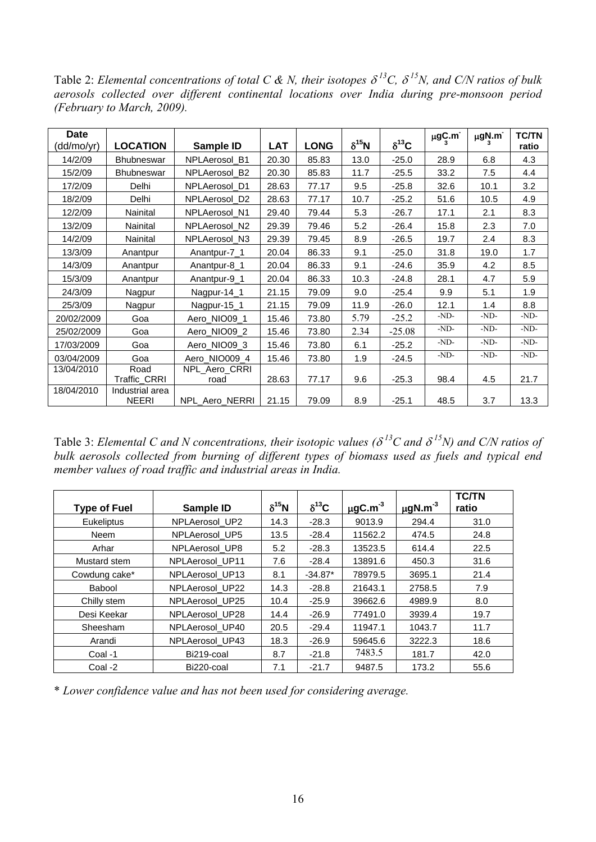Table 2: *Elemental concentrations of total C & N, their isotopes* <sup>δ</sup>*13C,* δ *15N, and C/N ratios of bulk aerosols collected over different continental locations over India during pre-monsoon period (February to March, 2009).*

| <b>Date</b><br>(dd/mo/yr) | <b>LOCATION</b>                 | Sample ID      | <b>LAT</b> | <b>LONG</b> | $\delta^{15}N$ | $\delta^{13}$ C | $\mu$ g $C_3$ .m <sup>-</sup> | $\mu$ g $N$ .m <sup>-</sup> | <b>TC/TN</b><br>ratio |
|---------------------------|---------------------------------|----------------|------------|-------------|----------------|-----------------|-------------------------------|-----------------------------|-----------------------|
| 14/2/09                   | <b>Bhubneswar</b>               | NPLAerosol_B1  | 20.30      | 85.83       | 13.0           | $-25.0$         | 28.9                          | 6.8                         | 4.3                   |
| 15/2/09                   | <b>Bhubneswar</b>               | NPLAerosol B2  | 20.30      | 85.83       | 11.7           | $-25.5$         | 33.2                          | 7.5                         | 4.4                   |
| 17/2/09                   | Delhi                           | NPLAerosol D1  | 28.63      | 77.17       | 9.5            | $-25.8$         | 32.6                          | 10.1                        | 3.2                   |
| 18/2/09                   | Delhi                           | NPLAerosol D2  | 28.63      | 77.17       | 10.7           | $-25.2$         | 51.6                          | 10.5                        | 4.9                   |
| 12/2/09                   | Nainital                        | NPLAerosol N1  | 29.40      | 79.44       | 5.3            | $-26.7$         | 17.1                          | 2.1                         | 8.3                   |
| 13/2/09                   | Nainital                        | NPLAerosol N2  | 29.39      | 79.46       | 5.2            | $-26.4$         | 15.8                          | 2.3                         | 7.0                   |
| 14/2/09                   | Nainital                        | NPLAerosol_N3  | 29.39      | 79.45       | 8.9            | $-26.5$         | 19.7                          | 2.4                         | 8.3                   |
| 13/3/09                   | Anantpur                        | Anantpur-7_1   | 20.04      | 86.33       | 9.1            | $-25.0$         | 31.8                          | 19.0                        | 1.7                   |
| 14/3/09                   | Anantpur                        | Anantpur-8_1   | 20.04      | 86.33       | 9.1            | $-24.6$         | 35.9                          | 4.2                         | 8.5                   |
| 15/3/09                   | Anantpur                        | Anantpur-9_1   | 20.04      | 86.33       | 10.3           | $-24.8$         | 28.1                          | 4.7                         | 5.9                   |
| 24/3/09                   | Nagpur                          | Nagpur-14_1    | 21.15      | 79.09       | 9.0            | $-25.4$         | 9.9                           | 5.1                         | 1.9                   |
| 25/3/09                   | Nagpur                          | Nagpur-15_1    | 21.15      | 79.09       | 11.9           | $-26.0$         | 12.1                          | 1.4                         | 8.8                   |
| 20/02/2009                | Goa                             | Aero_NIO09_1   | 15.46      | 73.80       | 5.79           | $-25.2$         | $-ND-$                        | $-ND-$                      | $-ND-$                |
| 25/02/2009                | Goa                             | Aero_NIO09_2   | 15.46      | 73.80       | 2.34           | $-25.08$        | $-ND-$                        | $-ND-$                      | $-ND-$                |
| 17/03/2009                | Goa                             | Aero_NIO09_3   | 15.46      | 73.80       | 6.1            | $-25.2$         | $-ND-$                        | $-ND-$                      | $-ND-$                |
| 03/04/2009                | Goa                             | Aero_NIO009_4  | 15.46      | 73.80       | 1.9            | $-24.5$         | $-ND-$                        | $-ND-$                      | $-ND-$                |
| 13/04/2010                | Road                            | NPL_Aero_CRRI  |            |             |                |                 |                               |                             |                       |
|                           | Traffic_CRRI                    | road           | 28.63      | 77.17       | 9.6            | $-25.3$         | 98.4                          | 4.5                         | 21.7                  |
| 18/04/2010                | Industrial area<br><b>NEERI</b> | NPL_Aero_NERRI | 21.15      | 79.09       | 8.9            | $-25.1$         | 48.5                          | 3.7                         | 13.3                  |

Table 3: *Elemental C and N concentrations, their isotopic values (* $\delta^{13}C$  *and*  $\delta^{15}N$ *) and C/N ratios of bulk aerosols collected from burning of different types of biomass used as fuels and typical end member values of road traffic and industrial areas in India.* 

| <b>Type of Fuel</b> | Sample ID       | $\delta^{15}$ N | $\delta^{13}$ C | $\mu$ gC.m <sup>-3</sup> | $\mu$ gN.m <sup>-3</sup> | <b>TC/TN</b><br>ratio |
|---------------------|-----------------|-----------------|-----------------|--------------------------|--------------------------|-----------------------|
| <b>Eukeliptus</b>   | NPLAerosol_UP2  | 14.3            | $-28.3$         | 9013.9                   | 294.4                    | 31.0                  |
| <b>Neem</b>         | NPLAerosol UP5  | 13.5            | $-28.4$         | 11562.2                  | 474.5                    | 24.8                  |
| Arhar               | NPLAerosol UP8  | 5.2             | $-28.3$         | 13523.5                  | 614.4                    | 22.5                  |
| Mustard stem        | NPLAerosol UP11 | 7.6             | $-28.4$         | 13891.6                  | 450.3                    | 31.6                  |
| Cowdung cake*       | NPLAerosol_UP13 | 8.1             | $-34.87*$       | 78979.5                  | 3695.1                   | 21.4                  |
| Babool              | NPLAerosol_UP22 | 14.3            | $-28.8$         | 21643.1                  | 2758.5                   | 7.9                   |
| Chilly stem         | NPLAerosol UP25 | 10.4            | $-25.9$         | 39662.6                  | 4989.9                   | 8.0                   |
| Desi Keekar         | NPLAerosol_UP28 | 14.4            | $-26.9$         | 77491.0                  | 3939.4                   | 19.7                  |
| Sheesham            | NPLAerosol UP40 | 20.5            | $-29.4$         | 11947.1                  | 1043.7                   | 11.7                  |
| Arandi              | NPLAerosol UP43 | 18.3            | $-26.9$         | 59645.6                  | 3222.3                   | 18.6                  |
| Coal -1             | Bi219-coal      | 8.7             | $-21.8$         | 7483.5                   | 181.7                    | 42.0                  |
| Coal -2             | Bi220-coal      | 7.1             | $-21.7$         | 9487.5                   | 173.2                    | 55.6                  |

\* *Lower confidence value and has not been used for considering average.*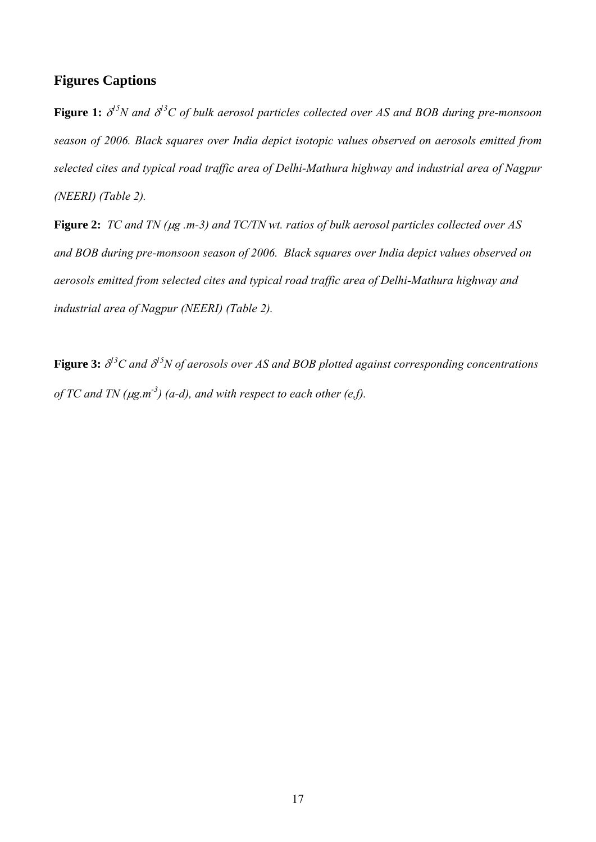## **Figures Captions**

**Figure 1:**  $\delta^{15}N$  and  $\delta^{13}C$  of bulk aerosol particles collected over AS and BOB during pre-monsoon *season of 2006. Black squares over India depict isotopic values observed on aerosols emitted from selected cites and typical road traffic area of Delhi-Mathura highway and industrial area of Nagpur (NEERI) (Table 2).* 

**Figure 2:** *TC and TN (*μ*g .m-3) and TC/TN wt. ratios of bulk aerosol particles collected over AS and BOB during pre-monsoon season of 2006. Black squares over India depict values observed on aerosols emitted from selected cites and typical road traffic area of Delhi-Mathura highway and industrial area of Nagpur (NEERI) (Table 2).* 

**Figure 3:** δ *13C and* <sup>δ</sup> *15N of aerosols over AS and BOB plotted against corresponding concentrations of TC and TN (* $\mu$ *g.m*<sup>-3</sup>) (*a-d*), *and with respect to each other (e,f).*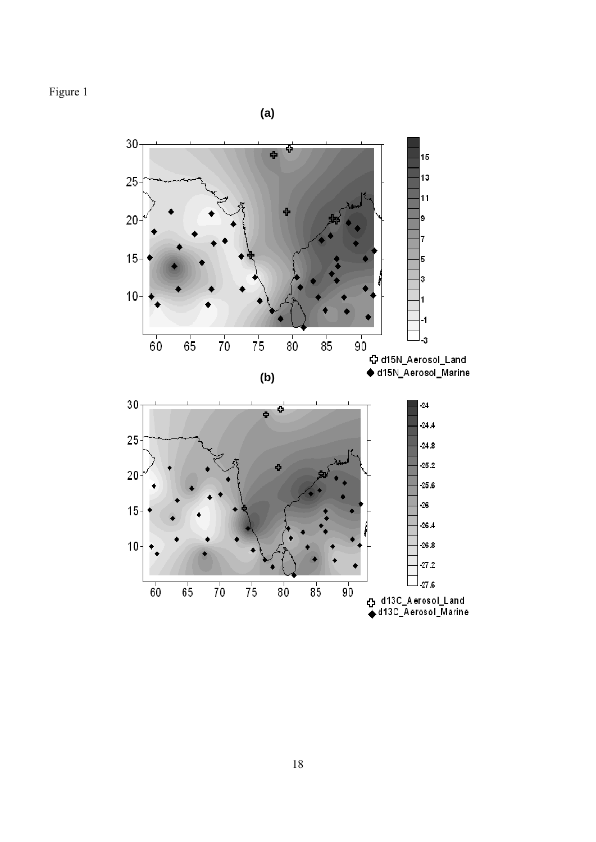Figure 1

 $(a)$ 

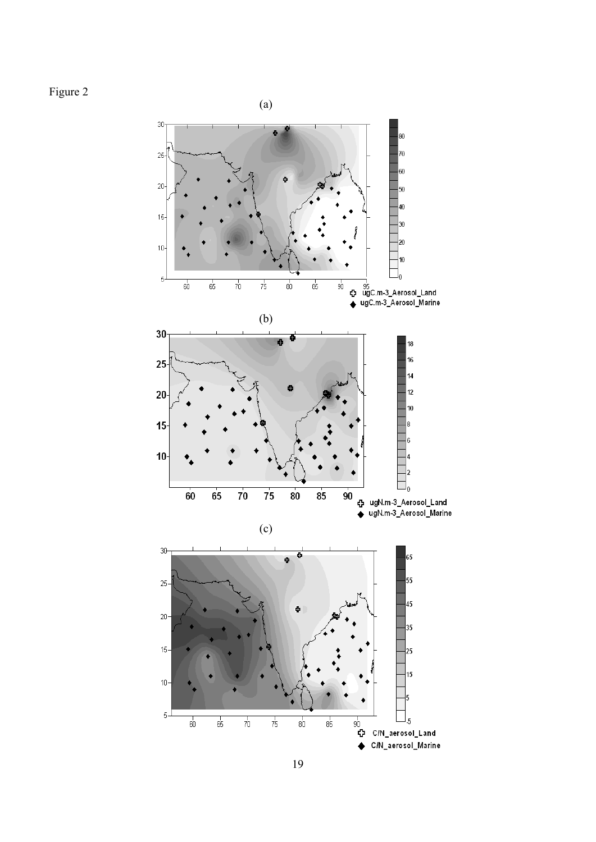Figure 2